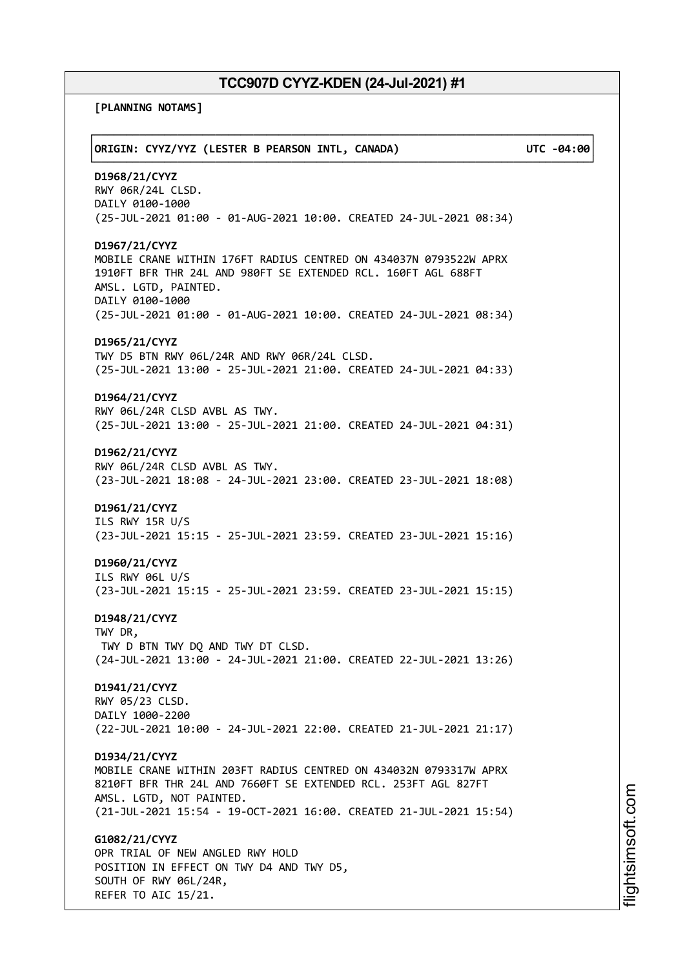**[PLANNING NOTAMS]**

| ORIGIN: CYYZ/YYZ (LESTER B PEARSON INTL, CANADA)                                                                                                                                                                                                                     | UTC -04:00 |
|----------------------------------------------------------------------------------------------------------------------------------------------------------------------------------------------------------------------------------------------------------------------|------------|
| D1968/21/CYYZ<br>RWY 06R/24L CLSD.<br>DAILY 0100-1000<br>(25-JUL-2021 01:00 - 01-AUG-2021 10:00. CREATED 24-JUL-2021 08:34)                                                                                                                                          |            |
| D1967/21/CYYZ<br>MOBILE CRANE WITHIN 176FT RADIUS CENTRED ON 434037N 0793522W APRX<br>1910FT BFR THR 24L AND 980FT SE EXTENDED RCL. 160FT AGL 688FT<br>AMSL. LGTD, PAINTED.<br>DAILY 0100-1000<br>(25-JUL-2021 01:00 - 01-AUG-2021 10:00. CREATED 24-JUL-2021 08:34) |            |
| D1965/21/CYYZ<br>TWY D5 BTN RWY 06L/24R AND RWY 06R/24L CLSD.<br>(25-JUL-2021 13:00 - 25-JUL-2021 21:00. CREATED 24-JUL-2021 04:33)                                                                                                                                  |            |
| D1964/21/CYYZ<br>RWY 06L/24R CLSD AVBL AS TWY.<br>(25-JUL-2021 13:00 - 25-JUL-2021 21:00. CREATED 24-JUL-2021 04:31)                                                                                                                                                 |            |
| D1962/21/CYYZ<br>RWY 06L/24R CLSD AVBL AS TWY.<br>(23-JUL-2021 18:08 - 24-JUL-2021 23:00. CREATED 23-JUL-2021 18:08)                                                                                                                                                 |            |
| D1961/21/CYYZ<br>ILS RWY 15R U/S<br>(23-JUL-2021 15:15 - 25-JUL-2021 23:59. CREATED 23-JUL-2021 15:16)                                                                                                                                                               |            |
| D1960/21/CYYZ<br>ILS RWY 06L U/S<br>(23-JUL-2021 15:15 - 25-JUL-2021 23:59. CREATED 23-JUL-2021 15:15)                                                                                                                                                               |            |
| D1948/21/CYYZ<br>TWY DR,<br>TWY D BTN TWY DQ AND TWY DT CLSD.<br>(24-JUL-2021 13:00 - 24-JUL-2021 21:00. CREATED 22-JUL-2021 13:26)                                                                                                                                  |            |
| D1941/21/CYYZ<br>RWY 05/23 CLSD.<br>DAILY 1000-2200<br>(22-JUL-2021 10:00 - 24-JUL-2021 22:00. CREATED 21-JUL-2021 21:17)                                                                                                                                            |            |
| D1934/21/CYYZ<br>MOBILE CRANE WITHIN 203FT RADIUS CENTRED ON 434032N 0793317W APRX<br>8210FT BFR THR 24L AND 7660FT SE EXTENDED RCL. 253FT AGL 827FT<br>AMSL. LGTD, NOT PAINTED.<br>(21-JUL-2021 15:54 - 19-OCT-2021 16:00. CREATED 21-JUL-2021 15:54)               |            |
| G1082/21/CYYZ<br>OPR TRIAL OF NEW ANGLED RWY HOLD<br>POSITION IN EFFECT ON TWY D4 AND TWY D5,<br>SOUTH OF RWY 06L/24R,<br>REFER TO AIC 15/21.                                                                                                                        |            |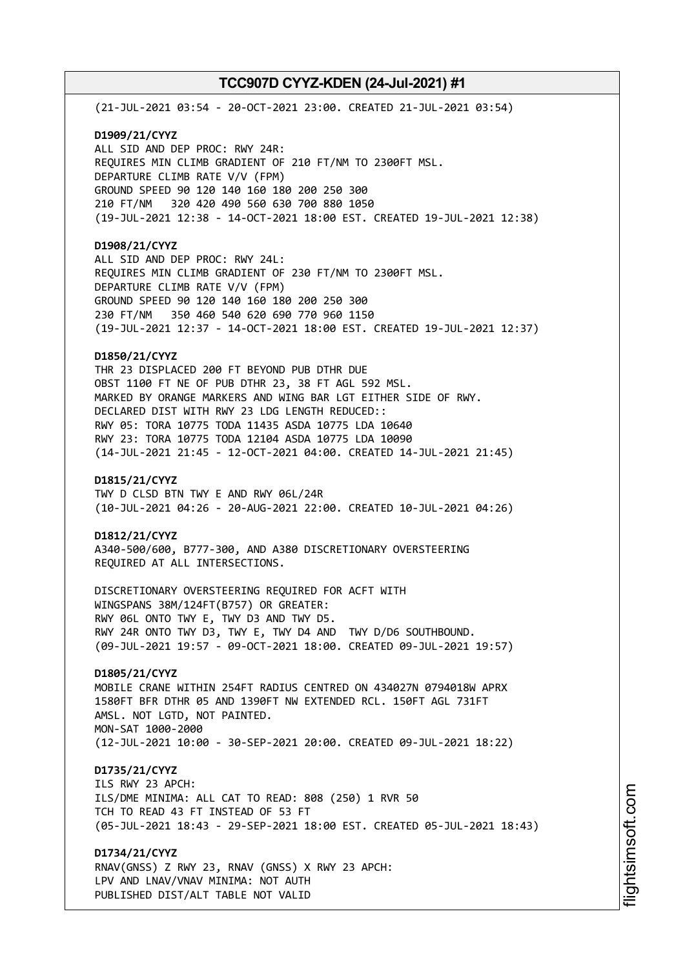(21-JUL-2021 03:54 - 20-OCT-2021 23:00. CREATED 21-JUL-2021 03:54) **D1909/21/CYYZ**

ALL SID AND DEP PROC: RWY 24R: REQUIRES MIN CLIMB GRADIENT OF 210 FT/NM TO 2300FT MSL. DEPARTURE CLIMB RATE V/V (FPM) GROUND SPEED 90 120 140 160 180 200 250 300 210 FT/NM 320 420 490 560 630 700 880 1050 (19-JUL-2021 12:38 - 14-OCT-2021 18:00 EST. CREATED 19-JUL-2021 12:38)

# **D1908/21/CYYZ**

ALL SID AND DEP PROC: RWY 24L: REQUIRES MIN CLIMB GRADIENT OF 230 FT/NM TO 2300FT MSL. DEPARTURE CLIMB RATE V/V (FPM) GROUND SPEED 90 120 140 160 180 200 250 300 230 FT/NM 350 460 540 620 690 770 960 1150 (19-JUL-2021 12:37 - 14-OCT-2021 18:00 EST. CREATED 19-JUL-2021 12:37)

### **D1850/21/CYYZ**

THR 23 DISPLACED 200 FT BEYOND PUB DTHR DUE OBST 1100 FT NE OF PUB DTHR 23, 38 FT AGL 592 MSL. MARKED BY ORANGE MARKERS AND WING BAR LGT EITHER SIDE OF RWY. DECLARED DIST WITH RWY 23 LDG LENGTH REDUCED:: RWY 05: TORA 10775 TODA 11435 ASDA 10775 LDA 10640 RWY 23: TORA 10775 TODA 12104 ASDA 10775 LDA 10090 (14-JUL-2021 21:45 - 12-OCT-2021 04:00. CREATED 14-JUL-2021 21:45)

#### **D1815/21/CYYZ**

TWY D CLSD BTN TWY E AND RWY 06L/24R (10-JUL-2021 04:26 - 20-AUG-2021 22:00. CREATED 10-JUL-2021 04:26)

#### **D1812/21/CYYZ**

A340-500/600, B777-300, AND A380 DISCRETIONARY OVERSTEERING REQUIRED AT ALL INTERSECTIONS.

DISCRETIONARY OVERSTEERING REQUIRED FOR ACFT WITH WINGSPANS 38M/124FT(B757) OR GREATER: RWY 06L ONTO TWY E, TWY D3 AND TWY D5. RWY 24R ONTO TWY D3, TWY E, TWY D4 AND TWY D/D6 SOUTHBOUND. (09-JUL-2021 19:57 - 09-OCT-2021 18:00. CREATED 09-JUL-2021 19:57)

# **D1805/21/CYYZ**

MOBILE CRANE WITHIN 254FT RADIUS CENTRED ON 434027N 0794018W APRX 1580FT BFR DTHR 05 AND 1390FT NW EXTENDED RCL. 150FT AGL 731FT AMSL. NOT LGTD, NOT PAINTED. MON-SAT 1000-2000 (12-JUL-2021 10:00 - 30-SEP-2021 20:00. CREATED 09-JUL-2021 18:22)

# **D1735/21/CYYZ**

ILS RWY 23 APCH: ILS/DME MINIMA: ALL CAT TO READ: 808 (250) 1 RVR 50 TCH TO READ 43 FT INSTEAD OF 53 FT (05-JUL-2021 18:43 - 29-SEP-2021 18:00 EST. CREATED 05-JUL-2021 18:43)

**D1734/21/CYYZ** RNAV(GNSS) Z RWY 23, RNAV (GNSS) X RWY 23 APCH: LPV AND LNAV/VNAV MINIMA: NOT AUTH PUBLISHED DIST/ALT TABLE NOT VALID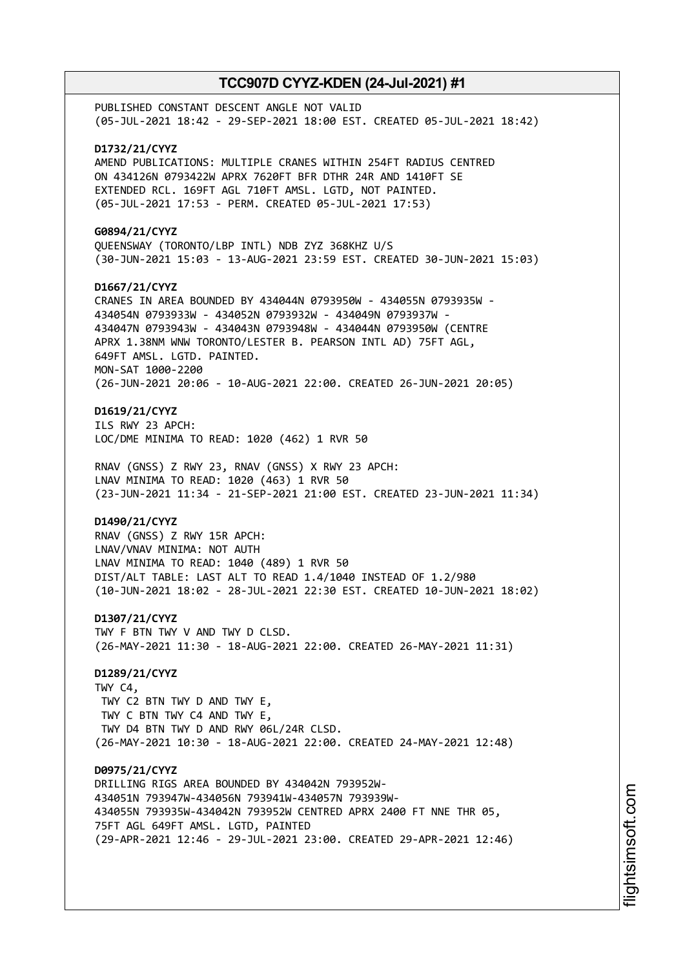PUBLISHED CONSTANT DESCENT ANGLE NOT VALID (05-JUL-2021 18:42 - 29-SEP-2021 18:00 EST. CREATED 05-JUL-2021 18:42) **D1732/21/CYYZ** AMEND PUBLICATIONS: MULTIPLE CRANES WITHIN 254FT RADIUS CENTRED ON 434126N 0793422W APRX 7620FT BFR DTHR 24R AND 1410FT SE EXTENDED RCL. 169FT AGL 710FT AMSL. LGTD, NOT PAINTED. (05-JUL-2021 17:53 - PERM. CREATED 05-JUL-2021 17:53) **G0894/21/CYYZ** QUEENSWAY (TORONTO/LBP INTL) NDB ZYZ 368KHZ U/S (30-JUN-2021 15:03 - 13-AUG-2021 23:59 EST. CREATED 30-JUN-2021 15:03) **D1667/21/CYYZ** CRANES IN AREA BOUNDED BY 434044N 0793950W - 434055N 0793935W - 434054N 0793933W - 434052N 0793932W - 434049N 0793937W - 434047N 0793943W - 434043N 0793948W - 434044N 0793950W (CENTRE APRX 1.38NM WNW TORONTO/LESTER B. PEARSON INTL AD) 75FT AGL, 649FT AMSL. LGTD. PAINTED. MON-SAT 1000-2200 (26-JUN-2021 20:06 - 10-AUG-2021 22:00. CREATED 26-JUN-2021 20:05) **D1619/21/CYYZ** ILS RWY 23 APCH: LOC/DME MINIMA TO READ: 1020 (462) 1 RVR 50 RNAV (GNSS) Z RWY 23, RNAV (GNSS) X RWY 23 APCH: LNAV MINIMA TO READ: 1020 (463) 1 RVR 50 (23-JUN-2021 11:34 - 21-SEP-2021 21:00 EST. CREATED 23-JUN-2021 11:34) **D1490/21/CYYZ** RNAV (GNSS) Z RWY 15R APCH: LNAV/VNAV MINIMA: NOT AUTH LNAV MINIMA TO READ: 1040 (489) 1 RVR 50 DIST/ALT TABLE: LAST ALT TO READ 1.4/1040 INSTEAD OF 1.2/980 (10-JUN-2021 18:02 - 28-JUL-2021 22:30 EST. CREATED 10-JUN-2021 18:02) **D1307/21/CYYZ** TWY F BTN TWY V AND TWY D CLSD. (26-MAY-2021 11:30 - 18-AUG-2021 22:00. CREATED 26-MAY-2021 11:31) **D1289/21/CYYZ** TWY C4, TWY C2 BTN TWY D AND TWY E, TWY C BTN TWY C4 AND TWY E, TWY D4 BTN TWY D AND RWY 06L/24R CLSD. (26-MAY-2021 10:30 - 18-AUG-2021 22:00. CREATED 24-MAY-2021 12:48) **D0975/21/CYYZ** DRILLING RIGS AREA BOUNDED BY 434042N 793952W-434051N 793947W-434056N 793941W-434057N 793939W-434055N 793935W-434042N 793952W CENTRED APRX 2400 FT NNE THR 05, 75FT AGL 649FT AMSL. LGTD, PAINTED (29-APR-2021 12:46 - 29-JUL-2021 23:00. CREATED 29-APR-2021 12:46)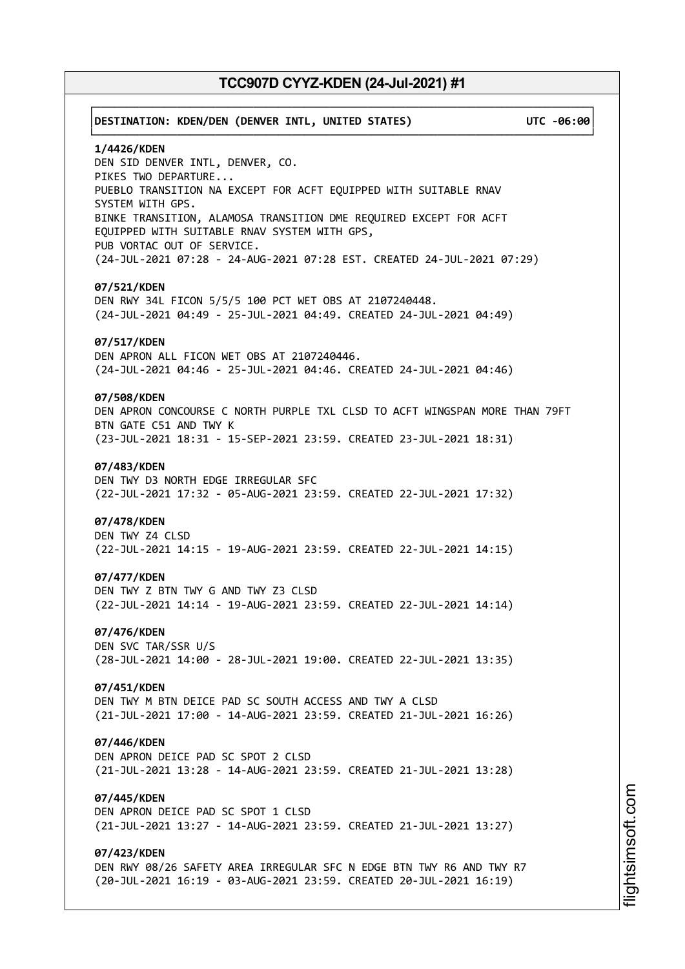# ┌──────────────────────────────────────────────────────────────────────────────┐ │**DESTINATION: KDEN/DEN (DENVER INTL, UNITED STATES) UTC -06:00**│ └──────────────────────────────────────────────────────────────────────────────┘ **1/4426/KDEN** DEN SID DENVER INTL, DENVER, CO. PIKES TWO DEPARTURE... PUEBLO TRANSITION NA EXCEPT FOR ACFT EQUIPPED WITH SUITABLE RNAV SYSTEM WITH GPS. BINKE TRANSITION, ALAMOSA TRANSITION DME REQUIRED EXCEPT FOR ACFT EQUIPPED WITH SUITABLE RNAV SYSTEM WITH GPS, PUB VORTAC OUT OF SERVICE. (24-JUL-2021 07:28 - 24-AUG-2021 07:28 EST. CREATED 24-JUL-2021 07:29) **07/521/KDEN** DEN RWY 34L FICON 5/5/5 100 PCT WET OBS AT 2107240448. (24-JUL-2021 04:49 - 25-JUL-2021 04:49. CREATED 24-JUL-2021 04:49) **07/517/KDEN** DEN APRON ALL FICON WET OBS AT 2107240446. (24-JUL-2021 04:46 - 25-JUL-2021 04:46. CREATED 24-JUL-2021 04:46) **07/508/KDEN** DEN APRON CONCOURSE C NORTH PURPLE TXL CLSD TO ACFT WINGSPAN MORE THAN 79FT BTN GATE C51 AND TWY K (23-JUL-2021 18:31 - 15-SEP-2021 23:59. CREATED 23-JUL-2021 18:31) **07/483/KDEN** DEN TWY D3 NORTH EDGE IRREGULAR SFC (22-JUL-2021 17:32 - 05-AUG-2021 23:59. CREATED 22-JUL-2021 17:32) **07/478/KDEN** DEN TWY Z4 CLSD (22-JUL-2021 14:15 - 19-AUG-2021 23:59. CREATED 22-JUL-2021 14:15) **07/477/KDEN** DEN TWY Z BTN TWY G AND TWY Z3 CLSD (22-JUL-2021 14:14 - 19-AUG-2021 23:59. CREATED 22-JUL-2021 14:14) **07/476/KDEN** DEN SVC TAR/SSR U/S (28-JUL-2021 14:00 - 28-JUL-2021 19:00. CREATED 22-JUL-2021 13:35) **07/451/KDEN** DEN TWY M BTN DEICE PAD SC SOUTH ACCESS AND TWY A CLSD (21-JUL-2021 17:00 - 14-AUG-2021 23:59. CREATED 21-JUL-2021 16:26) **07/446/KDEN** DEN APRON DEICE PAD SC SPOT 2 CLSD (21-JUL-2021 13:28 - 14-AUG-2021 23:59. CREATED 21-JUL-2021 13:28) **07/445/KDEN** DEN APRON DEICE PAD SC SPOT 1 CLSD (21-JUL-2021 13:27 - 14-AUG-2021 23:59. CREATED 21-JUL-2021 13:27) **07/423/KDEN** DEN RWY 08/26 SAFETY AREA IRREGULAR SFC N EDGE BTN TWY R6 AND TWY R7 (20-JUL-2021 16:19 - 03-AUG-2021 23:59. CREATED 20-JUL-2021 16:19)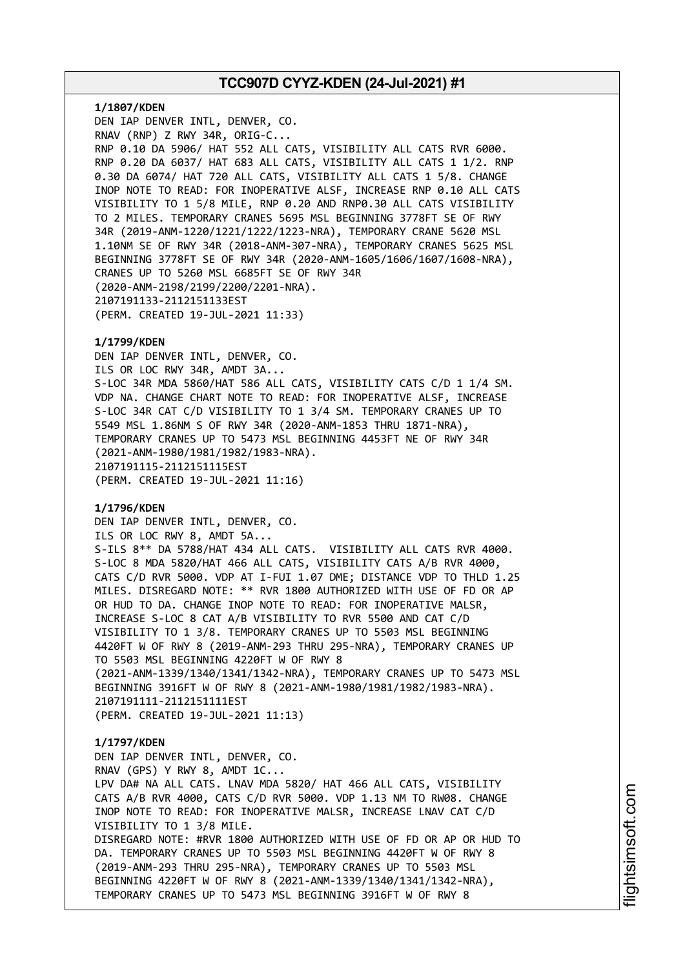**1/1807/KDEN** DEN IAP DENVER INTL, DENVER, CO. RNAV (RNP) Z RWY 34R, ORIG-C... RNP 0.10 DA 5906/ HAT 552 ALL CATS, VISIBILITY ALL CATS RVR 6000. RNP 0.20 DA 6037/ HAT 683 ALL CATS, VISIBILITY ALL CATS 1 1/2. RNP 0.30 DA 6074/ HAT 720 ALL CATS, VISIBILITY ALL CATS 1 5/8. CHANGE INOP NOTE TO READ: FOR INOPERATIVE ALSF, INCREASE RNP 0.10 ALL CATS VISIBILITY TO 1 5/8 MILE, RNP 0.20 AND RNP0.30 ALL CATS VISIBILITY TO 2 MILES. TEMPORARY CRANES 5695 MSL BEGINNING 3778FT SE OF RWY 34R (2019-ANM-1220/1221/1222/1223-NRA), TEMPORARY CRANE 5620 MSL 1.10NM SE OF RWY 34R (2018-ANM-307-NRA), TEMPORARY CRANES 5625 MSL BEGINNING 3778FT SE OF RWY 34R (2020-ANM-1605/1606/1607/1608-NRA), CRANES UP TO 5260 MSL 6685FT SE OF RWY 34R (2020-ANM-2198/2199/2200/2201-NRA). 2107191133-2112151133EST (PERM. CREATED 19-JUL-2021 11:33)

### **1/1799/KDEN**

DEN IAP DENVER INTL, DENVER, CO. ILS OR LOC RWY 34R, AMDT 3A... S-LOC 34R MDA 5860/HAT 586 ALL CATS, VISIBILITY CATS C/D 1 1/4 SM. VDP NA. CHANGE CHART NOTE TO READ: FOR INOPERATIVE ALSF, INCREASE S-LOC 34R CAT C/D VISIBILITY TO 1 3/4 SM. TEMPORARY CRANES UP TO 5549 MSL 1.86NM S OF RWY 34R (2020-ANM-1853 THRU 1871-NRA), TEMPORARY CRANES UP TO 5473 MSL BEGINNING 4453FT NE OF RWY 34R (2021-ANM-1980/1981/1982/1983-NRA). 2107191115-2112151115EST (PERM. CREATED 19-JUL-2021 11:16)

### **1/1796/KDEN**

DEN IAP DENVER INTL, DENVER, CO. ILS OR LOC RWY 8, AMDT 5A... S-ILS 8\*\* DA 5788/HAT 434 ALL CATS. VISIBILITY ALL CATS RVR 4000. S-LOC 8 MDA 5820/HAT 466 ALL CATS, VISIBILITY CATS A/B RVR 4000, CATS C/D RVR 5000. VDP AT I-FUI 1.07 DME; DISTANCE VDP TO THLD 1.25 MILES. DISREGARD NOTE: \*\* RVR 1800 AUTHORIZED WITH USE OF FD OR AP OR HUD TO DA. CHANGE INOP NOTE TO READ: FOR INOPERATIVE MALSR, INCREASE S-LOC 8 CAT A/B VISIBILITY TO RVR 5500 AND CAT C/D VISIBILITY TO 1 3/8. TEMPORARY CRANES UP TO 5503 MSL BEGINNING 4420FT W OF RWY 8 (2019-ANM-293 THRU 295-NRA), TEMPORARY CRANES UP TO 5503 MSL BEGINNING 4220FT W OF RWY 8 (2021-ANM-1339/1340/1341/1342-NRA), TEMPORARY CRANES UP TO 5473 MSL BEGINNING 3916FT W OF RWY 8 (2021-ANM-1980/1981/1982/1983-NRA). 2107191111-2112151111EST (PERM. CREATED 19-JUL-2021 11:13)

#### **1/1797/KDEN**

DEN IAP DENVER INTL, DENVER, CO. RNAV (GPS) Y RWY 8, AMDT 1C... LPV DA# NA ALL CATS. LNAV MDA 5820/ HAT 466 ALL CATS, VISIBILITY CATS A/B RVR 4000, CATS C/D RVR 5000. VDP 1.13 NM TO RW08. CHANGE INOP NOTE TO READ: FOR INOPERATIVE MALSR, INCREASE LNAV CAT C/D VISIBILITY TO 1 3/8 MILE. DISREGARD NOTE: #RVR 1800 AUTHORIZED WITH USE OF FD OR AP OR HUD TO DA. TEMPORARY CRANES UP TO 5503 MSL BEGINNING 4420FT W OF RWY 8 (2019-ANM-293 THRU 295-NRA), TEMPORARY CRANES UP TO 5503 MSL BEGINNING 4220FT W OF RWY 8 (2021-ANM-1339/1340/1341/1342-NRA), TEMPORARY CRANES UP TO 5473 MSL BEGINNING 3916FT W OF RWY 8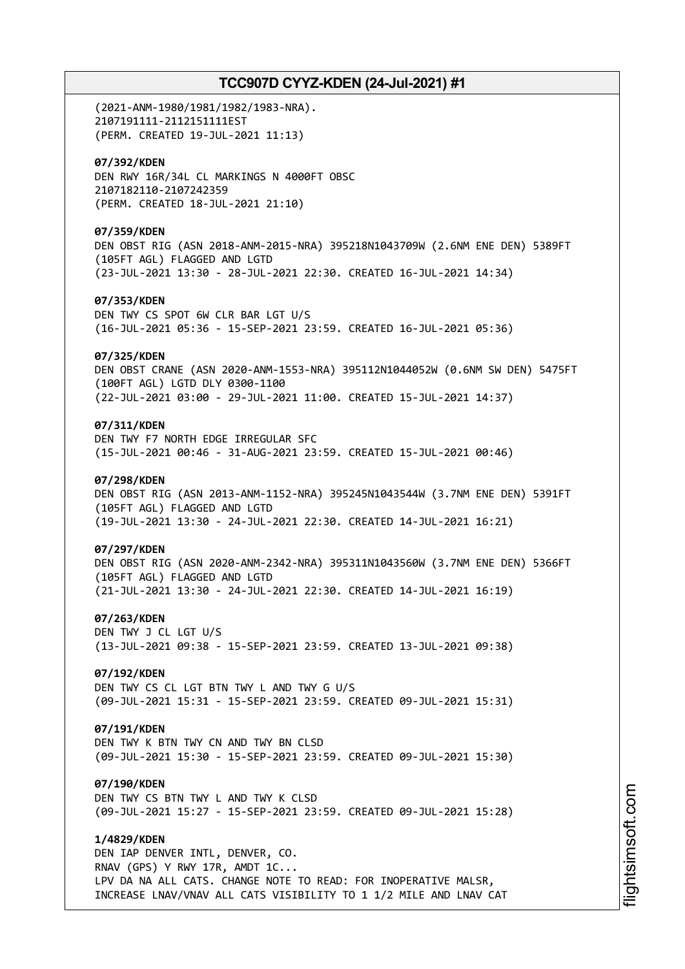(2021-ANM-1980/1981/1982/1983-NRA). 2107191111-2112151111EST (PERM. CREATED 19-JUL-2021 11:13) **07/392/KDEN** DEN RWY 16R/34L CL MARKINGS N 4000FT OBSC 2107182110-2107242359 (PERM. CREATED 18-JUL-2021 21:10) **07/359/KDEN** DEN OBST RIG (ASN 2018-ANM-2015-NRA) 395218N1043709W (2.6NM ENE DEN) 5389FT (105FT AGL) FLAGGED AND LGTD (23-JUL-2021 13:30 - 28-JUL-2021 22:30. CREATED 16-JUL-2021 14:34) **07/353/KDEN** DEN TWY CS SPOT 6W CLR BAR LGT U/S (16-JUL-2021 05:36 - 15-SEP-2021 23:59. CREATED 16-JUL-2021 05:36) **07/325/KDEN** DEN OBST CRANE (ASN 2020-ANM-1553-NRA) 395112N1044052W (0.6NM SW DEN) 5475FT (100FT AGL) LGTD DLY 0300-1100 (22-JUL-2021 03:00 - 29-JUL-2021 11:00. CREATED 15-JUL-2021 14:37) **07/311/KDEN** DEN TWY F7 NORTH EDGE IRREGULAR SFC (15-JUL-2021 00:46 - 31-AUG-2021 23:59. CREATED 15-JUL-2021 00:46) **07/298/KDEN** DEN OBST RIG (ASN 2013-ANM-1152-NRA) 395245N1043544W (3.7NM ENE DEN) 5391FT (105FT AGL) FLAGGED AND LGTD (19-JUL-2021 13:30 - 24-JUL-2021 22:30. CREATED 14-JUL-2021 16:21) **07/297/KDEN** DEN OBST RIG (ASN 2020-ANM-2342-NRA) 395311N1043560W (3.7NM ENE DEN) 5366FT (105FT AGL) FLAGGED AND LGTD (21-JUL-2021 13:30 - 24-JUL-2021 22:30. CREATED 14-JUL-2021 16:19) **07/263/KDEN** DEN TWY J CL LGT U/S (13-JUL-2021 09:38 - 15-SEP-2021 23:59. CREATED 13-JUL-2021 09:38) **07/192/KDEN** DEN TWY CS CL LGT BTN TWY L AND TWY G U/S (09-JUL-2021 15:31 - 15-SEP-2021 23:59. CREATED 09-JUL-2021 15:31) **07/191/KDEN** DEN TWY K BTN TWY CN AND TWY BN CLSD (09-JUL-2021 15:30 - 15-SEP-2021 23:59. CREATED 09-JUL-2021 15:30) **07/190/KDEN** DEN TWY CS BTN TWY L AND TWY K CLSD (09-JUL-2021 15:27 - 15-SEP-2021 23:59. CREATED 09-JUL-2021 15:28) **1/4829/KDEN** DEN IAP DENVER INTL, DENVER, CO. RNAV (GPS) Y RWY 17R, AMDT 1C... LPV DA NA ALL CATS. CHANGE NOTE TO READ: FOR INOPERATIVE MALSR, INCREASE LNAV/VNAV ALL CATS VISIBILITY TO 1 1/2 MILE AND LNAV CAT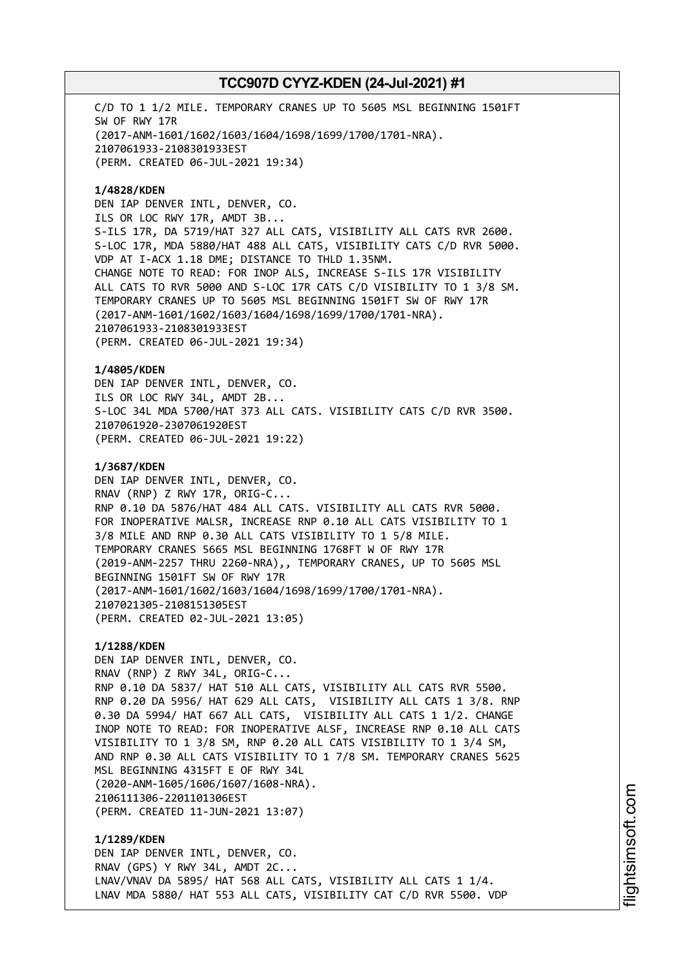C/D TO 1 1/2 MILE. TEMPORARY CRANES UP TO 5605 MSL BEGINNING 1501FT SW OF RWY 17R (2017-ANM-1601/1602/1603/1604/1698/1699/1700/1701-NRA). 2107061933-2108301933EST (PERM. CREATED 06-JUL-2021 19:34)

**1/4828/KDEN** DEN IAP DENVER INTL, DENVER, CO. ILS OR LOC RWY 17R, AMDT 3B... S-ILS 17R, DA 5719/HAT 327 ALL CATS, VISIBILITY ALL CATS RVR 2600. S-LOC 17R, MDA 5880/HAT 488 ALL CATS, VISIBILITY CATS C/D RVR 5000. VDP AT I-ACX 1.18 DME; DISTANCE TO THLD 1.35NM. CHANGE NOTE TO READ: FOR INOP ALS, INCREASE S-ILS 17R VISIBILITY ALL CATS TO RVR 5000 AND S-LOC 17R CATS C/D VISIBILITY TO 1 3/8 SM. TEMPORARY CRANES UP TO 5605 MSL BEGINNING 1501FT SW OF RWY 17R (2017-ANM-1601/1602/1603/1604/1698/1699/1700/1701-NRA). 2107061933-2108301933EST (PERM. CREATED 06-JUL-2021 19:34)

**1/4805/KDEN** DEN IAP DENVER INTL, DENVER, CO. ILS OR LOC RWY 34L, AMDT 2B... S-LOC 34L MDA 5700/HAT 373 ALL CATS. VISIBILITY CATS C/D RVR 3500. 2107061920-2307061920EST (PERM. CREATED 06-JUL-2021 19:22)

**1/3687/KDEN** DEN IAP DENVER INTL, DENVER, CO. RNAV (RNP) Z RWY 17R, ORIG-C... RNP 0.10 DA 5876/HAT 484 ALL CATS. VISIBILITY ALL CATS RVR 5000. FOR INOPERATIVE MALSR, INCREASE RNP 0.10 ALL CATS VISIBILITY TO 1 3/8 MILE AND RNP 0.30 ALL CATS VISIBILITY TO 1 5/8 MILE. TEMPORARY CRANES 5665 MSL BEGINNING 1768FT W OF RWY 17R (2019-ANM-2257 THRU 2260-NRA),, TEMPORARY CRANES, UP TO 5605 MSL BEGINNING 1501FT SW OF RWY 17R (2017-ANM-1601/1602/1603/1604/1698/1699/1700/1701-NRA). 2107021305-2108151305EST (PERM. CREATED 02-JUL-2021 13:05)

**1/1288/KDEN** DEN IAP DENVER INTL, DENVER, CO. RNAV (RNP) Z RWY 34L, ORIG-C... RNP 0.10 DA 5837/ HAT 510 ALL CATS, VISIBILITY ALL CATS RVR 5500. RNP 0.20 DA 5956/ HAT 629 ALL CATS, VISIBILITY ALL CATS 1 3/8. RNP 0.30 DA 5994/ HAT 667 ALL CATS, VISIBILITY ALL CATS 1 1/2. CHANGE INOP NOTE TO READ: FOR INOPERATIVE ALSF, INCREASE RNP 0.10 ALL CATS VISIBILITY TO 1 3/8 SM, RNP 0.20 ALL CATS VISIBILITY TO 1 3/4 SM, AND RNP 0.30 ALL CATS VISIBILITY TO 1 7/8 SM. TEMPORARY CRANES 5625 MSL BEGINNING 4315FT E OF RWY 34L (2020-ANM-1605/1606/1607/1608-NRA). 2106111306-2201101306EST (PERM. CREATED 11-JUN-2021 13:07)

**1/1289/KDEN** DEN IAP DENVER INTL, DENVER, CO. RNAV (GPS) Y RWY 34L, AMDT 2C... LNAV/VNAV DA 5895/ HAT 568 ALL CATS, VISIBILITY ALL CATS 1 1/4. LNAV MDA 5880/ HAT 553 ALL CATS, VISIBILITY CAT C/D RVR 5500. VDP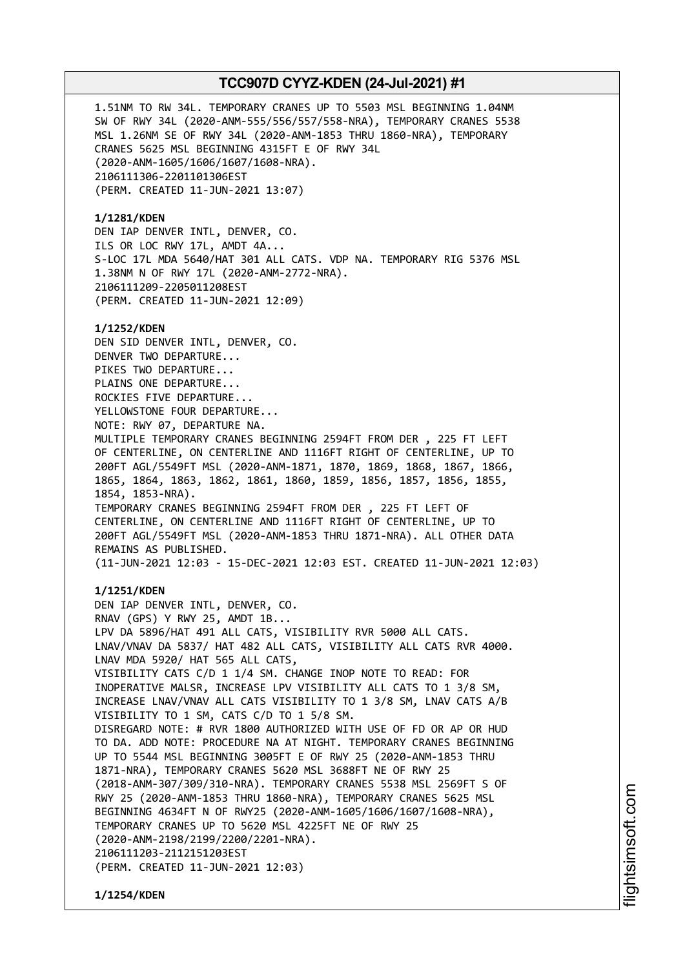1.51NM TO RW 34L. TEMPORARY CRANES UP TO 5503 MSL BEGINNING 1.04NM SW OF RWY 34L (2020-ANM-555/556/557/558-NRA), TEMPORARY CRANES 5538 MSL 1.26NM SE OF RWY 34L (2020-ANM-1853 THRU 1860-NRA), TEMPORARY CRANES 5625 MSL BEGINNING 4315FT E OF RWY 34L (2020-ANM-1605/1606/1607/1608-NRA). 2106111306-2201101306EST (PERM. CREATED 11-JUN-2021 13:07) **1/1281/KDEN** DEN IAP DENVER INTL, DENVER, CO. ILS OR LOC RWY 17L, AMDT 4A... S-LOC 17L MDA 5640/HAT 301 ALL CATS. VDP NA. TEMPORARY RIG 5376 MSL 1.38NM N OF RWY 17L (2020-ANM-2772-NRA). 2106111209-2205011208EST (PERM. CREATED 11-JUN-2021 12:09) **1/1252/KDEN** DEN SID DENVER INTL, DENVER, CO. DENVER TWO DEPARTURE... PIKES TWO DEPARTURE... PLAINS ONE DEPARTURE... ROCKIES FIVE DEPARTURE... YELLOWSTONE FOUR DEPARTURE... NOTE: RWY 07, DEPARTURE NA. MULTIPLE TEMPORARY CRANES BEGINNING 2594FT FROM DER , 225 FT LEFT OF CENTERLINE, ON CENTERLINE AND 1116FT RIGHT OF CENTERLINE, UP TO 200FT AGL/5549FT MSL (2020-ANM-1871, 1870, 1869, 1868, 1867, 1866, 1865, 1864, 1863, 1862, 1861, 1860, 1859, 1856, 1857, 1856, 1855, 1854, 1853-NRA). TEMPORARY CRANES BEGINNING 2594FT FROM DER , 225 FT LEFT OF CENTERLINE, ON CENTERLINE AND 1116FT RIGHT OF CENTERLINE, UP TO 200FT AGL/5549FT MSL (2020-ANM-1853 THRU 1871-NRA). ALL OTHER DATA REMAINS AS PUBLISHED. (11-JUN-2021 12:03 - 15-DEC-2021 12:03 EST. CREATED 11-JUN-2021 12:03) **1/1251/KDEN** DEN IAP DENVER INTL, DENVER, CO. RNAV (GPS) Y RWY 25, AMDT 1B... LPV DA 5896/HAT 491 ALL CATS, VISIBILITY RVR 5000 ALL CATS. LNAV/VNAV DA 5837/ HAT 482 ALL CATS, VISIBILITY ALL CATS RVR 4000. LNAV MDA 5920/ HAT 565 ALL CATS, VISIBILITY CATS C/D 1 1/4 SM. CHANGE INOP NOTE TO READ: FOR INOPERATIVE MALSR, INCREASE LPV VISIBILITY ALL CATS TO 1 3/8 SM, INCREASE LNAV/VNAV ALL CATS VISIBILITY TO 1 3/8 SM, LNAV CATS A/B VISIBILITY TO 1 SM, CATS C/D TO 1 5/8 SM. DISREGARD NOTE: # RVR 1800 AUTHORIZED WITH USE OF FD OR AP OR HUD TO DA. ADD NOTE: PROCEDURE NA AT NIGHT. TEMPORARY CRANES BEGINNING UP TO 5544 MSL BEGINNING 3005FT E OF RWY 25 (2020-ANM-1853 THRU 1871-NRA), TEMPORARY CRANES 5620 MSL 3688FT NE OF RWY 25 (2018-ANM-307/309/310-NRA). TEMPORARY CRANES 5538 MSL 2569FT S OF RWY 25 (2020-ANM-1853 THRU 1860-NRA), TEMPORARY CRANES 5625 MSL BEGINNING 4634FT N OF RWY25 (2020-ANM-1605/1606/1607/1608-NRA), TEMPORARY CRANES UP TO 5620 MSL 4225FT NE OF RWY 25

(2020-ANM-2198/2199/2200/2201-NRA). 2106111203-2112151203EST

(PERM. CREATED 11-JUN-2021 12:03)

**1/1254/KDEN**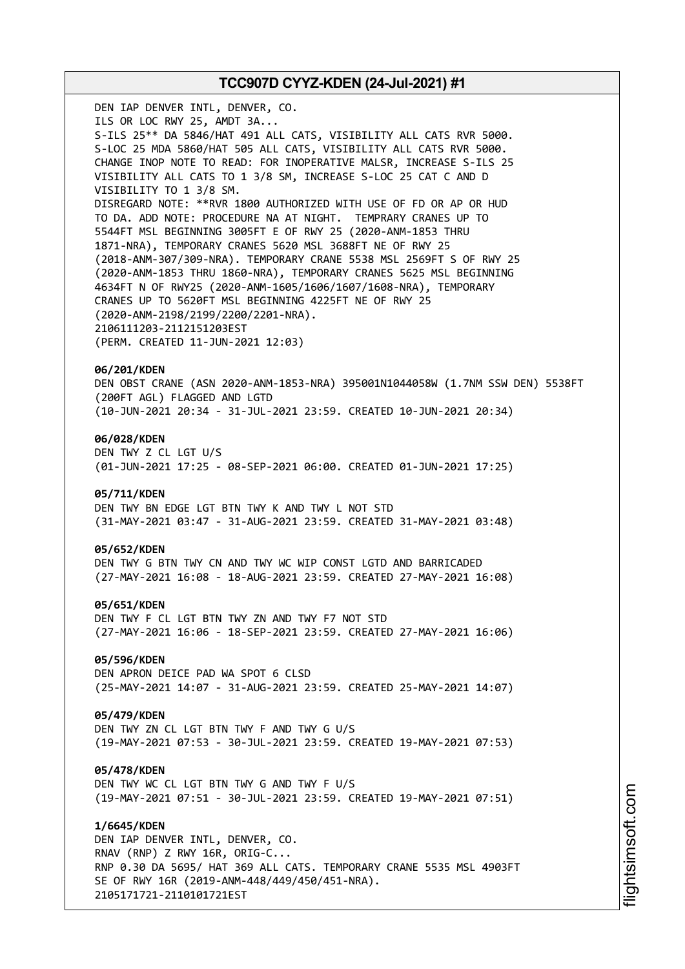DEN IAP DENVER INTL, DENVER, CO. ILS OR LOC RWY 25, AMDT 3A... S-ILS 25\*\* DA 5846/HAT 491 ALL CATS, VISIBILITY ALL CATS RVR 5000. S-LOC 25 MDA 5860/HAT 505 ALL CATS, VISIBILITY ALL CATS RVR 5000. CHANGE INOP NOTE TO READ: FOR INOPERATIVE MALSR, INCREASE S-ILS 25 VISIBILITY ALL CATS TO 1 3/8 SM, INCREASE S-LOC 25 CAT C AND D VISIBILITY TO 1 3/8 SM. DISREGARD NOTE: \*\*RVR 1800 AUTHORIZED WITH USE OF FD OR AP OR HUD TO DA. ADD NOTE: PROCEDURE NA AT NIGHT. TEMPRARY CRANES UP TO 5544FT MSL BEGINNING 3005FT E OF RWY 25 (2020-ANM-1853 THRU 1871-NRA), TEMPORARY CRANES 5620 MSL 3688FT NE OF RWY 25 (2018-ANM-307/309-NRA). TEMPORARY CRANE 5538 MSL 2569FT S OF RWY 25 (2020-ANM-1853 THRU 1860-NRA), TEMPORARY CRANES 5625 MSL BEGINNING 4634FT N OF RWY25 (2020-ANM-1605/1606/1607/1608-NRA), TEMPORARY CRANES UP TO 5620FT MSL BEGINNING 4225FT NE OF RWY 25 (2020-ANM-2198/2199/2200/2201-NRA). 2106111203-2112151203EST (PERM. CREATED 11-JUN-2021 12:03) **06/201/KDEN** DEN OBST CRANE (ASN 2020-ANM-1853-NRA) 395001N1044058W (1.7NM SSW DEN) 5538FT (200FT AGL) FLAGGED AND LGTD (10-JUN-2021 20:34 - 31-JUL-2021 23:59. CREATED 10-JUN-2021 20:34) **06/028/KDEN** DEN TWY Z CL LGT U/S (01-JUN-2021 17:25 - 08-SEP-2021 06:00. CREATED 01-JUN-2021 17:25) **05/711/KDEN** DEN TWY BN EDGE LGT BTN TWY K AND TWY L NOT STD (31-MAY-2021 03:47 - 31-AUG-2021 23:59. CREATED 31-MAY-2021 03:48) **05/652/KDEN** DEN TWY G BTN TWY CN AND TWY WC WIP CONST LGTD AND BARRICADED (27-MAY-2021 16:08 - 18-AUG-2021 23:59. CREATED 27-MAY-2021 16:08) **05/651/KDEN** DEN TWY F CL LGT BTN TWY ZN AND TWY F7 NOT STD (27-MAY-2021 16:06 - 18-SEP-2021 23:59. CREATED 27-MAY-2021 16:06) **05/596/KDEN** DEN APRON DEICE PAD WA SPOT 6 CLSD (25-MAY-2021 14:07 - 31-AUG-2021 23:59. CREATED 25-MAY-2021 14:07) **05/479/KDEN** DEN TWY ZN CL LGT BTN TWY F AND TWY G U/S (19-MAY-2021 07:53 - 30-JUL-2021 23:59. CREATED 19-MAY-2021 07:53) **05/478/KDEN** DEN TWY WC CL LGT BTN TWY G AND TWY F U/S (19-MAY-2021 07:51 - 30-JUL-2021 23:59. CREATED 19-MAY-2021 07:51) **1/6645/KDEN**

DEN IAP DENVER INTL, DENVER, CO. RNAV (RNP) Z RWY 16R, ORIG-C... RNP 0.30 DA 5695/ HAT 369 ALL CATS. TEMPORARY CRANE 5535 MSL 4903FT SE OF RWY 16R (2019-ANM-448/449/450/451-NRA). 2105171721-2110101721EST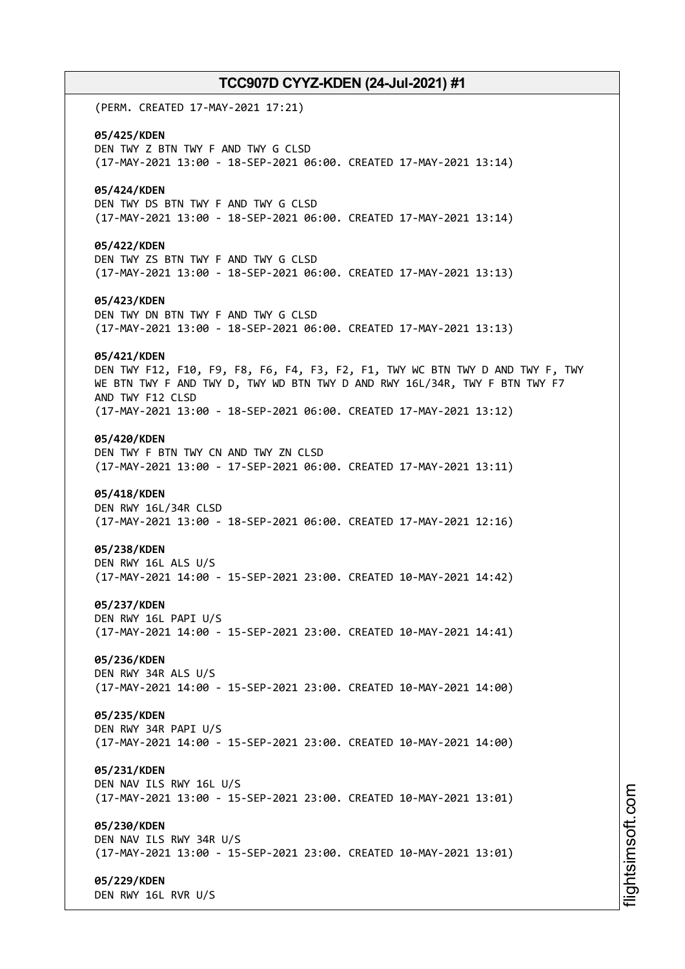(PERM. CREATED 17-MAY-2021 17:21) **05/425/KDEN** DEN TWY Z BTN TWY F AND TWY G CLSD (17-MAY-2021 13:00 - 18-SEP-2021 06:00. CREATED 17-MAY-2021 13:14) **05/424/KDEN** DEN TWY DS BTN TWY F AND TWY G CLSD (17-MAY-2021 13:00 - 18-SEP-2021 06:00. CREATED 17-MAY-2021 13:14) **05/422/KDEN** DEN TWY ZS BTN TWY F AND TWY G CLSD (17-MAY-2021 13:00 - 18-SEP-2021 06:00. CREATED 17-MAY-2021 13:13) **05/423/KDEN** DEN TWY DN BTN TWY F AND TWY G CLSD (17-MAY-2021 13:00 - 18-SEP-2021 06:00. CREATED 17-MAY-2021 13:13) **05/421/KDEN** DEN TWY F12, F10, F9, F8, F6, F4, F3, F2, F1, TWY WC BTN TWY D AND TWY F, TWY WE BTN TWY F AND TWY D, TWY WD BTN TWY D AND RWY 16L/34R, TWY F BTN TWY F7 AND TWY F12 CLSD (17-MAY-2021 13:00 - 18-SEP-2021 06:00. CREATED 17-MAY-2021 13:12) **05/420/KDEN** DEN TWY F BTN TWY CN AND TWY ZN CLSD (17-MAY-2021 13:00 - 17-SEP-2021 06:00. CREATED 17-MAY-2021 13:11) **05/418/KDEN** DEN RWY 16L/34R CLSD (17-MAY-2021 13:00 - 18-SEP-2021 06:00. CREATED 17-MAY-2021 12:16) **05/238/KDEN** DEN RWY 16L ALS U/S (17-MAY-2021 14:00 - 15-SEP-2021 23:00. CREATED 10-MAY-2021 14:42) **05/237/KDEN** DEN RWY 16L PAPI U/S (17-MAY-2021 14:00 - 15-SEP-2021 23:00. CREATED 10-MAY-2021 14:41) **05/236/KDEN** DEN RWY 34R ALS U/S (17-MAY-2021 14:00 - 15-SEP-2021 23:00. CREATED 10-MAY-2021 14:00) **05/235/KDEN** DEN RWY 34R PAPI U/S (17-MAY-2021 14:00 - 15-SEP-2021 23:00. CREATED 10-MAY-2021 14:00) **05/231/KDEN** DEN NAV ILS RWY 16L U/S (17-MAY-2021 13:00 - 15-SEP-2021 23:00. CREATED 10-MAY-2021 13:01) **05/230/KDEN** DEN NAV ILS RWY 34R U/S (17-MAY-2021 13:00 - 15-SEP-2021 23:00. CREATED 10-MAY-2021 13:01) **05/229/KDEN** DEN RWY 16L RVR U/S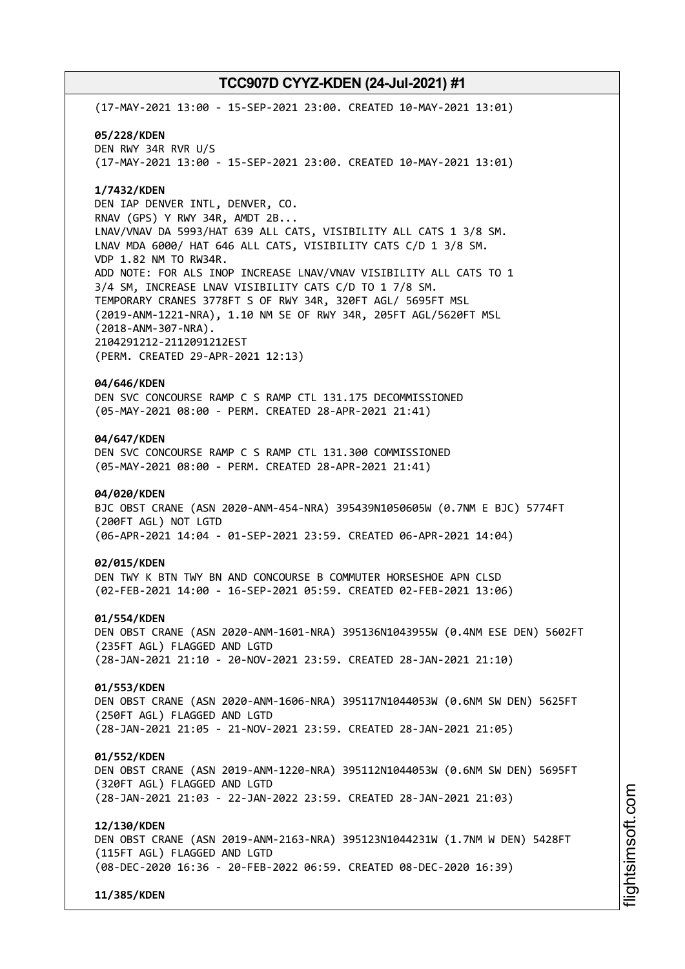(17-MAY-2021 13:00 - 15-SEP-2021 23:00. CREATED 10-MAY-2021 13:01) **05/228/KDEN** DEN RWY 34R RVR U/S (17-MAY-2021 13:00 - 15-SEP-2021 23:00. CREATED 10-MAY-2021 13:01) **1/7432/KDEN** DEN IAP DENVER INTL, DENVER, CO. RNAV (GPS) Y RWY 34R, AMDT 2B... LNAV/VNAV DA 5993/HAT 639 ALL CATS, VISIBILITY ALL CATS 1 3/8 SM. LNAV MDA 6000/ HAT 646 ALL CATS, VISIBILITY CATS C/D 1 3/8 SM. VDP 1.82 NM TO RW34R. ADD NOTE: FOR ALS INOP INCREASE LNAV/VNAV VISIBILITY ALL CATS TO 1 3/4 SM, INCREASE LNAV VISIBILITY CATS C/D TO 1 7/8 SM. TEMPORARY CRANES 3778FT S OF RWY 34R, 320FT AGL/ 5695FT MSL (2019-ANM-1221-NRA), 1.10 NM SE OF RWY 34R, 205FT AGL/5620FT MSL (2018-ANM-307-NRA). 2104291212-2112091212EST (PERM. CREATED 29-APR-2021 12:13) **04/646/KDEN** DEN SVC CONCOURSE RAMP C S RAMP CTL 131.175 DECOMMISSIONED (05-MAY-2021 08:00 - PERM. CREATED 28-APR-2021 21:41) **04/647/KDEN** DEN SVC CONCOURSE RAMP C S RAMP CTL 131.300 COMMISSIONED (05-MAY-2021 08:00 - PERM. CREATED 28-APR-2021 21:41) **04/020/KDEN** BJC OBST CRANE (ASN 2020-ANM-454-NRA) 395439N1050605W (0.7NM E BJC) 5774FT (200FT AGL) NOT LGTD (06-APR-2021 14:04 - 01-SEP-2021 23:59. CREATED 06-APR-2021 14:04) **02/015/KDEN** DEN TWY K BTN TWY BN AND CONCOURSE B COMMUTER HORSESHOE APN CLSD (02-FEB-2021 14:00 - 16-SEP-2021 05:59. CREATED 02-FEB-2021 13:06) **01/554/KDEN** DEN OBST CRANE (ASN 2020-ANM-1601-NRA) 395136N1043955W (0.4NM ESE DEN) 5602FT (235FT AGL) FLAGGED AND LGTD (28-JAN-2021 21:10 - 20-NOV-2021 23:59. CREATED 28-JAN-2021 21:10) **01/553/KDEN** DEN OBST CRANE (ASN 2020-ANM-1606-NRA) 395117N1044053W (0.6NM SW DEN) 5625FT (250FT AGL) FLAGGED AND LGTD (28-JAN-2021 21:05 - 21-NOV-2021 23:59. CREATED 28-JAN-2021 21:05) **01/552/KDEN** DEN OBST CRANE (ASN 2019-ANM-1220-NRA) 395112N1044053W (0.6NM SW DEN) 5695FT (320FT AGL) FLAGGED AND LGTD (28-JAN-2021 21:03 - 22-JAN-2022 23:59. CREATED 28-JAN-2021 21:03) **12/130/KDEN** DEN OBST CRANE (ASN 2019-ANM-2163-NRA) 395123N1044231W (1.7NM W DEN) 5428FT (115FT AGL) FLAGGED AND LGTD (08-DEC-2020 16:36 - 20-FEB-2022 06:59. CREATED 08-DEC-2020 16:39) **11/385/KDEN**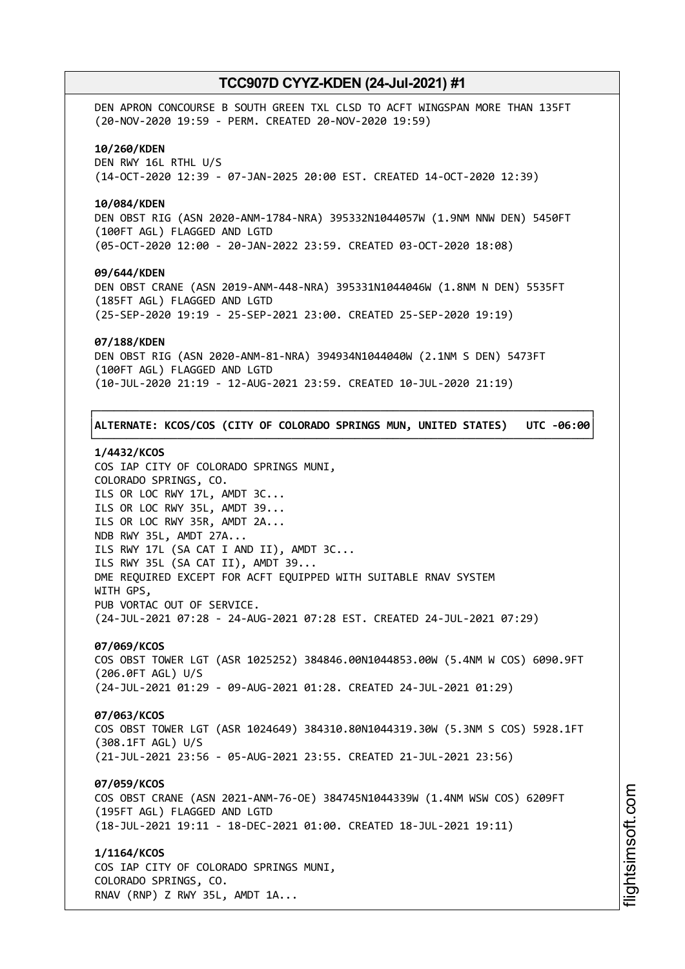DEN APRON CONCOURSE B SOUTH GREEN TXL CLSD TO ACFT WINGSPAN MORE THAN 135FT (20-NOV-2020 19:59 - PERM. CREATED 20-NOV-2020 19:59) **10/260/KDEN** DEN RWY 16L RTHL U/S (14-OCT-2020 12:39 - 07-JAN-2025 20:00 EST. CREATED 14-OCT-2020 12:39) **10/084/KDEN** DEN OBST RIG (ASN 2020-ANM-1784-NRA) 395332N1044057W (1.9NM NNW DEN) 5450FT (100FT AGL) FLAGGED AND LGTD (05-OCT-2020 12:00 - 20-JAN-2022 23:59. CREATED 03-OCT-2020 18:08) **09/644/KDEN** DEN OBST CRANE (ASN 2019-ANM-448-NRA) 395331N1044046W (1.8NM N DEN) 5535FT (185FT AGL) FLAGGED AND LGTD (25-SEP-2020 19:19 - 25-SEP-2021 23:00. CREATED 25-SEP-2020 19:19) **07/188/KDEN** DEN OBST RIG (ASN 2020-ANM-81-NRA) 394934N1044040W (2.1NM S DEN) 5473FT (100FT AGL) FLAGGED AND LGTD (10-JUL-2020 21:19 - 12-AUG-2021 23:59. CREATED 10-JUL-2020 21:19) ┌──────────────────────────────────────────────────────────────────────────────┐ │**ALTERNATE: KCOS/COS (CITY OF COLORADO SPRINGS MUN, UNITED STATES) UTC -06:00**│ └──────────────────────────────────────────────────────────────────────────────┘

#### **1/4432/KCOS**

COS IAP CITY OF COLORADO SPRINGS MUNI, COLORADO SPRINGS, CO. ILS OR LOC RWY 17L, AMDT 3C... ILS OR LOC RWY 35L, AMDT 39... ILS OR LOC RWY 35R, AMDT 2A... NDB RWY 35L, AMDT 27A... ILS RWY 17L (SA CAT I AND II), AMDT 3C... ILS RWY 35L (SA CAT II), AMDT 39... DME REQUIRED EXCEPT FOR ACFT EQUIPPED WITH SUITABLE RNAV SYSTEM WITH GPS, PUB VORTAC OUT OF SERVICE. (24-JUL-2021 07:28 - 24-AUG-2021 07:28 EST. CREATED 24-JUL-2021 07:29)

# **07/069/KCOS**

COS OBST TOWER LGT (ASR 1025252) 384846.00N1044853.00W (5.4NM W COS) 6090.9FT (206.0FT AGL) U/S (24-JUL-2021 01:29 - 09-AUG-2021 01:28. CREATED 24-JUL-2021 01:29)

### **07/063/KCOS**

COS OBST TOWER LGT (ASR 1024649) 384310.80N1044319.30W (5.3NM S COS) 5928.1FT (308.1FT AGL) U/S (21-JUL-2021 23:56 - 05-AUG-2021 23:55. CREATED 21-JUL-2021 23:56)

### **07/059/KCOS**

COS OBST CRANE (ASN 2021-ANM-76-OE) 384745N1044339W (1.4NM WSW COS) 6209FT (195FT AGL) FLAGGED AND LGTD (18-JUL-2021 19:11 - 18-DEC-2021 01:00. CREATED 18-JUL-2021 19:11)

#### **1/1164/KCOS**

COS IAP CITY OF COLORADO SPRINGS MUNI, COLORADO SPRINGS, CO. RNAV (RNP) Z RWY 35L, AMDT 1A...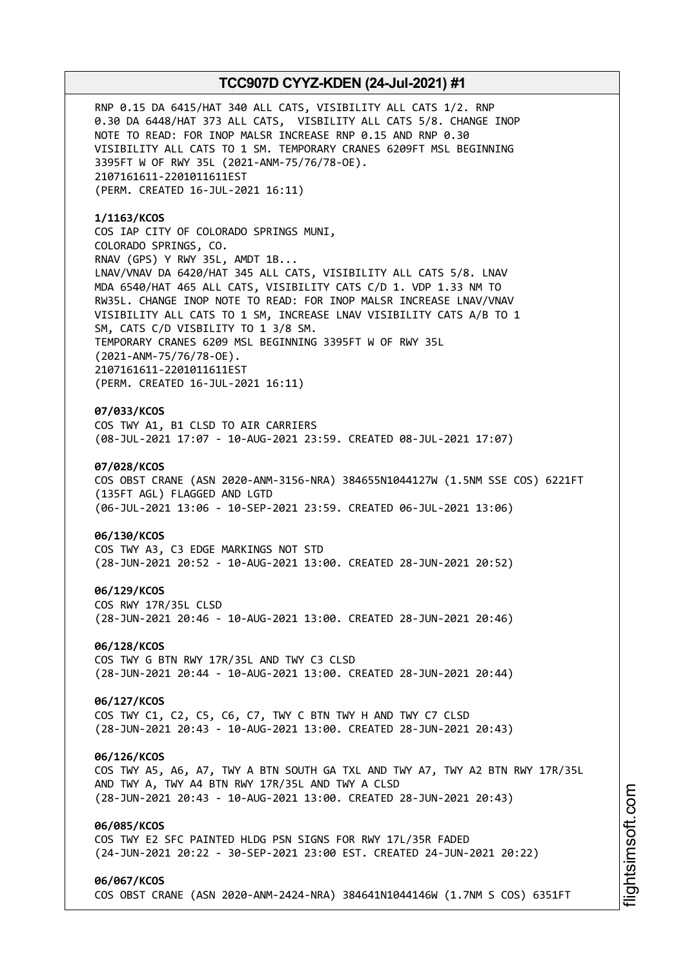RNP 0.15 DA 6415/HAT 340 ALL CATS, VISIBILITY ALL CATS 1/2. RNP 0.30 DA 6448/HAT 373 ALL CATS, VISBILITY ALL CATS 5/8. CHANGE INOP NOTE TO READ: FOR INOP MALSR INCREASE RNP 0.15 AND RNP 0.30 VISIBILITY ALL CATS TO 1 SM. TEMPORARY CRANES 6209FT MSL BEGINNING 3395FT W OF RWY 35L (2021-ANM-75/76/78-OE). 2107161611-2201011611EST (PERM. CREATED 16-JUL-2021 16:11)

**1/1163/KCOS** COS IAP CITY OF COLORADO SPRINGS MUNI, COLORADO SPRINGS, CO. RNAV (GPS) Y RWY 35L, AMDT 1B... LNAV/VNAV DA 6420/HAT 345 ALL CATS, VISIBILITY ALL CATS 5/8. LNAV MDA 6540/HAT 465 ALL CATS, VISIBILITY CATS C/D 1. VDP 1.33 NM TO RW35L. CHANGE INOP NOTE TO READ: FOR INOP MALSR INCREASE LNAV/VNAV VISIBILITY ALL CATS TO 1 SM, INCREASE LNAV VISIBILITY CATS A/B TO 1 SM, CATS C/D VISBILITY TO 1 3/8 SM. TEMPORARY CRANES 6209 MSL BEGINNING 3395FT W OF RWY 35L (2021-ANM-75/76/78-OE). 2107161611-2201011611EST (PERM. CREATED 16-JUL-2021 16:11)

### **07/033/KCOS**

COS TWY A1, B1 CLSD TO AIR CARRIERS (08-JUL-2021 17:07 - 10-AUG-2021 23:59. CREATED 08-JUL-2021 17:07)

# **07/028/KCOS**

COS OBST CRANE (ASN 2020-ANM-3156-NRA) 384655N1044127W (1.5NM SSE COS) 6221FT (135FT AGL) FLAGGED AND LGTD (06-JUL-2021 13:06 - 10-SEP-2021 23:59. CREATED 06-JUL-2021 13:06)

#### **06/130/KCOS**

COS TWY A3, C3 EDGE MARKINGS NOT STD (28-JUN-2021 20:52 - 10-AUG-2021 13:00. CREATED 28-JUN-2021 20:52)

#### **06/129/KCOS**

COS RWY 17R/35L CLSD (28-JUN-2021 20:46 - 10-AUG-2021 13:00. CREATED 28-JUN-2021 20:46)

#### **06/128/KCOS**

COS TWY G BTN RWY 17R/35L AND TWY C3 CLSD (28-JUN-2021 20:44 - 10-AUG-2021 13:00. CREATED 28-JUN-2021 20:44)

# **06/127/KCOS**

COS TWY C1, C2, C5, C6, C7, TWY C BTN TWY H AND TWY C7 CLSD (28-JUN-2021 20:43 - 10-AUG-2021 13:00. CREATED 28-JUN-2021 20:43)

#### **06/126/KCOS**

COS TWY A5, A6, A7, TWY A BTN SOUTH GA TXL AND TWY A7, TWY A2 BTN RWY 17R/35L AND TWY A, TWY A4 BTN RWY 17R/35L AND TWY A CLSD (28-JUN-2021 20:43 - 10-AUG-2021 13:00. CREATED 28-JUN-2021 20:43)

### **06/085/KCOS**

COS TWY E2 SFC PAINTED HLDG PSN SIGNS FOR RWY 17L/35R FADED (24-JUN-2021 20:22 - 30-SEP-2021 23:00 EST. CREATED 24-JUN-2021 20:22)

#### **06/067/KCOS**

COS OBST CRANE (ASN 2020-ANM-2424-NRA) 384641N1044146W (1.7NM S COS) 6351FT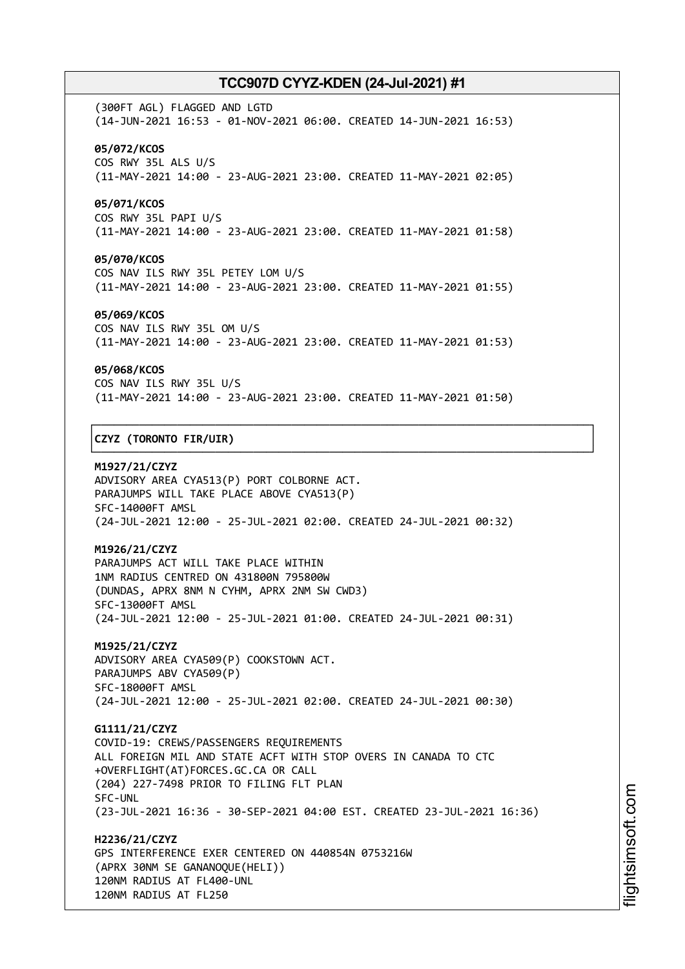(300FT AGL) FLAGGED AND LGTD (14-JUN-2021 16:53 - 01-NOV-2021 06:00. CREATED 14-JUN-2021 16:53) **05/072/KCOS** COS RWY 35L ALS U/S (11-MAY-2021 14:00 - 23-AUG-2021 23:00. CREATED 11-MAY-2021 02:05)

# **05/071/KCOS**

COS RWY 35L PAPI U/S (11-MAY-2021 14:00 - 23-AUG-2021 23:00. CREATED 11-MAY-2021 01:58)

#### **05/070/KCOS**

COS NAV ILS RWY 35L PETEY LOM U/S (11-MAY-2021 14:00 - 23-AUG-2021 23:00. CREATED 11-MAY-2021 01:55)

### **05/069/KCOS**

COS NAV ILS RWY 35L OM U/S (11-MAY-2021 14:00 - 23-AUG-2021 23:00. CREATED 11-MAY-2021 01:53)

#### **05/068/KCOS**

COS NAV ILS RWY 35L U/S (11-MAY-2021 14:00 - 23-AUG-2021 23:00. CREATED 11-MAY-2021 01:50)

┌──────────────────────────────────────────────────────────────────────────────┐

└──────────────────────────────────────────────────────────────────────────────┘

### │**CZYZ (TORONTO FIR/UIR)** │

**M1927/21/CZYZ** ADVISORY AREA CYA513(P) PORT COLBORNE ACT. PARAJUMPS WILL TAKE PLACE ABOVE CYA513(P) SFC-14000FT AMSL (24-JUL-2021 12:00 - 25-JUL-2021 02:00. CREATED 24-JUL-2021 00:32)

### **M1926/21/CZYZ**

PARAJUMPS ACT WILL TAKE PLACE WITHIN 1NM RADIUS CENTRED ON 431800N 795800W (DUNDAS, APRX 8NM N CYHM, APRX 2NM SW CWD3) SFC-13000FT AMSL (24-JUL-2021 12:00 - 25-JUL-2021 01:00. CREATED 24-JUL-2021 00:31)

**M1925/21/CZYZ** ADVISORY AREA CYA509(P) COOKSTOWN ACT. PARAJUMPS ABV CYA509(P) SFC-18000FT AMSL (24-JUL-2021 12:00 - 25-JUL-2021 02:00. CREATED 24-JUL-2021 00:30)

**G1111/21/CZYZ** COVID-19: CREWS/PASSENGERS REQUIREMENTS ALL FOREIGN MIL AND STATE ACFT WITH STOP OVERS IN CANADA TO CTC +OVERFLIGHT(AT)FORCES.GC.CA OR CALL (204) 227-7498 PRIOR TO FILING FLT PLAN SFC-UNL (23-JUL-2021 16:36 - 30-SEP-2021 04:00 EST. CREATED 23-JUL-2021 16:36)

**H2236/21/CZYZ** GPS INTERFERENCE EXER CENTERED ON 440854N 0753216W (APRX 30NM SE GANANOQUE(HELI)) 120NM RADIUS AT FL400-UNL 120NM RADIUS AT FL250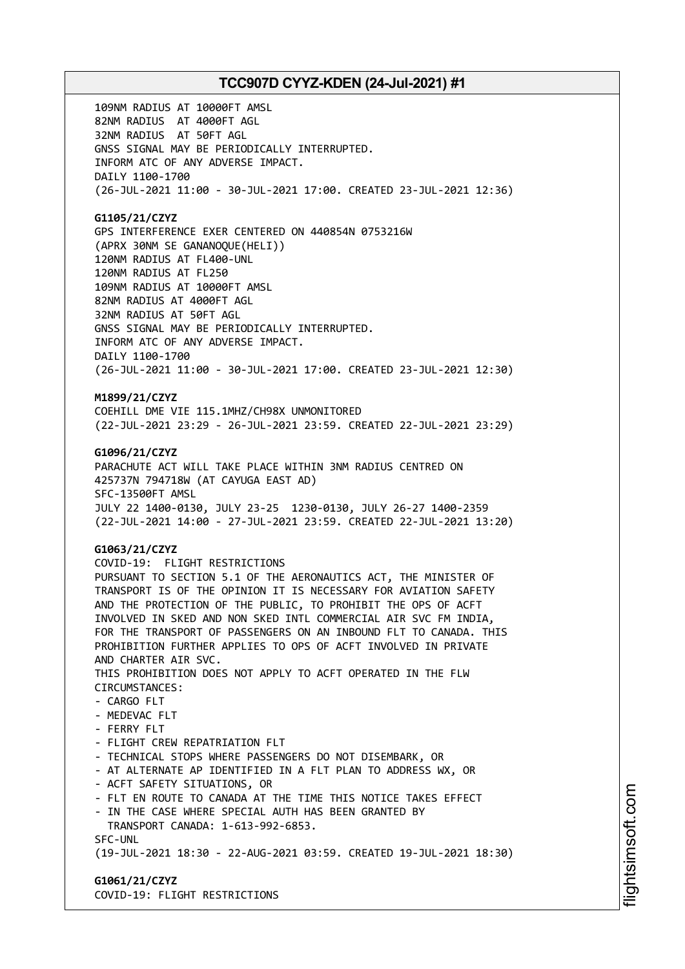109NM RADIUS AT 10000FT AMSL 82NM RADIUS AT 4000FT AGL 32NM RADIUS AT 50FT AGL GNSS SIGNAL MAY BE PERIODICALLY INTERRUPTED. INFORM ATC OF ANY ADVERSE IMPACT. DAILY 1100-1700 (26-JUL-2021 11:00 - 30-JUL-2021 17:00. CREATED 23-JUL-2021 12:36)

### **G1105/21/CZYZ**

GPS INTERFERENCE EXER CENTERED ON 440854N 0753216W (APRX 30NM SE GANANOQUE(HELI)) 120NM RADIUS AT FL400-UNL 120NM RADIUS AT FL250 109NM RADIUS AT 10000FT AMSL 82NM RADIUS AT 4000FT AGL 32NM RADIUS AT 50FT AGL GNSS SIGNAL MAY BE PERIODICALLY INTERRUPTED. INFORM ATC OF ANY ADVERSE IMPACT. DAILY 1100-1700 (26-JUL-2021 11:00 - 30-JUL-2021 17:00. CREATED 23-JUL-2021 12:30)

# **M1899/21/CZYZ**

COEHILL DME VIE 115.1MHZ/CH98X UNMONITORED (22-JUL-2021 23:29 - 26-JUL-2021 23:59. CREATED 22-JUL-2021 23:29)

### **G1096/21/CZYZ**

PARACHUTE ACT WILL TAKE PLACE WITHIN 3NM RADIUS CENTRED ON 425737N 794718W (AT CAYUGA EAST AD) SFC-13500FT AMSL JULY 22 1400-0130, JULY 23-25 1230-0130, JULY 26-27 1400-2359 (22-JUL-2021 14:00 - 27-JUL-2021 23:59. CREATED 22-JUL-2021 13:20)

# **G1063/21/CZYZ**

COVID-19: FLIGHT RESTRICTIONS PURSUANT TO SECTION 5.1 OF THE AERONAUTICS ACT, THE MINISTER OF TRANSPORT IS OF THE OPINION IT IS NECESSARY FOR AVIATION SAFETY AND THE PROTECTION OF THE PUBLIC, TO PROHIBIT THE OPS OF ACFT INVOLVED IN SKED AND NON SKED INTL COMMERCIAL AIR SVC FM INDIA, FOR THE TRANSPORT OF PASSENGERS ON AN INBOUND FLT TO CANADA. THIS PROHIBITION FURTHER APPLIES TO OPS OF ACFT INVOLVED IN PRIVATE AND CHARTER AIR SVC. THIS PROHIBITION DOES NOT APPLY TO ACFT OPERATED IN THE FLW CIRCUMSTANCES: - CARGO FLT - MEDEVAC FLT - FERRY FLT - FLIGHT CREW REPATRIATION FLT - TECHNICAL STOPS WHERE PASSENGERS DO NOT DISEMBARK, OR - AT ALTERNATE AP IDENTIFIED IN A FLT PLAN TO ADDRESS WX, OR - ACFT SAFETY SITUATIONS, OR - FLT EN ROUTE TO CANADA AT THE TIME THIS NOTICE TAKES EFFECT - IN THE CASE WHERE SPECIAL AUTH HAS BEEN GRANTED BY TRANSPORT CANADA: 1-613-992-6853. SFC-UNL (19-JUL-2021 18:30 - 22-AUG-2021 03:59. CREATED 19-JUL-2021 18:30)

**G1061/21/CZYZ** COVID-19: FLIGHT RESTRICTIONS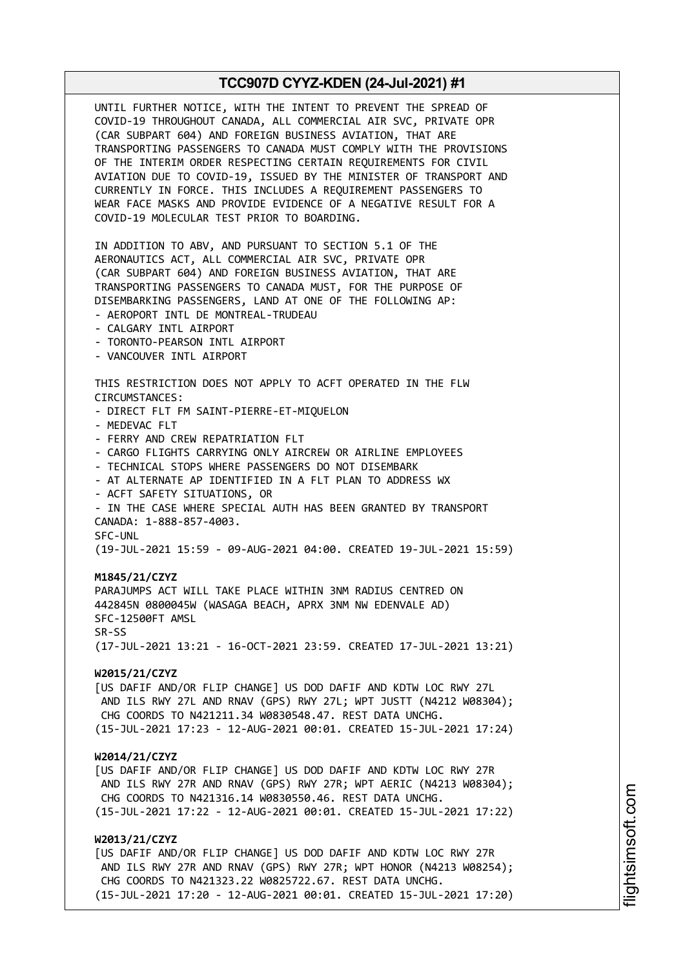UNTIL FURTHER NOTICE, WITH THE INTENT TO PREVENT THE SPREAD OF COVID-19 THROUGHOUT CANADA, ALL COMMERCIAL AIR SVC, PRIVATE OPR (CAR SUBPART 604) AND FOREIGN BUSINESS AVIATION, THAT ARE TRANSPORTING PASSENGERS TO CANADA MUST COMPLY WITH THE PROVISIONS OF THE INTERIM ORDER RESPECTING CERTAIN REQUIREMENTS FOR CIVIL AVIATION DUE TO COVID-19, ISSUED BY THE MINISTER OF TRANSPORT AND CURRENTLY IN FORCE. THIS INCLUDES A REQUIREMENT PASSENGERS TO WEAR FACE MASKS AND PROVIDE EVIDENCE OF A NEGATIVE RESULT FOR A COVID-19 MOLECULAR TEST PRIOR TO BOARDING. IN ADDITION TO ABV, AND PURSUANT TO SECTION 5.1 OF THE AERONAUTICS ACT, ALL COMMERCIAL AIR SVC, PRIVATE OPR (CAR SUBPART 604) AND FOREIGN BUSINESS AVIATION, THAT ARE TRANSPORTING PASSENGERS TO CANADA MUST, FOR THE PURPOSE OF DISEMBARKING PASSENGERS, LAND AT ONE OF THE FOLLOWING AP: - AEROPORT INTL DE MONTREAL-TRUDEAU - CALGARY INTL AIRPORT - TORONTO-PEARSON INTL AIRPORT - VANCOUVER INTL AIRPORT THIS RESTRICTION DOES NOT APPLY TO ACFT OPERATED IN THE FLW CIRCUMSTANCES: - DIRECT FLT FM SAINT-PIERRE-ET-MIQUELON - MEDEVAC FLT - FERRY AND CREW REPATRIATION FLT - CARGO FLIGHTS CARRYING ONLY AIRCREW OR AIRLINE EMPLOYEES - TECHNICAL STOPS WHERE PASSENGERS DO NOT DISEMBARK - AT ALTERNATE AP IDENTIFIED IN A FLT PLAN TO ADDRESS WX - ACFT SAFETY SITUATIONS, OR - IN THE CASE WHERE SPECIAL AUTH HAS BEEN GRANTED BY TRANSPORT CANADA: 1-888-857-4003. SFC-UNL (19-JUL-2021 15:59 - 09-AUG-2021 04:00. CREATED 19-JUL-2021 15:59) **M1845/21/CZYZ** PARAJUMPS ACT WILL TAKE PLACE WITHIN 3NM RADIUS CENTRED ON 442845N 0800045W (WASAGA BEACH, APRX 3NM NW EDENVALE AD) SFC-12500FT AMSL SR-SS (17-JUL-2021 13:21 - 16-OCT-2021 23:59. CREATED 17-JUL-2021 13:21) **W2015/21/CZYZ** [US DAFIF AND/OR FLIP CHANGE] US DOD DAFIF AND KDTW LOC RWY 27L AND ILS RWY 27L AND RNAV (GPS) RWY 27L; WPT JUSTT (N4212 W08304); CHG COORDS TO N421211.34 W0830548.47. REST DATA UNCHG. (15-JUL-2021 17:23 - 12-AUG-2021 00:01. CREATED 15-JUL-2021 17:24) **W2014/21/CZYZ** [US DAFIF AND/OR FLIP CHANGE] US DOD DAFIF AND KDTW LOC RWY 27R AND ILS RWY 27R AND RNAV (GPS) RWY 27R; WPT AERIC (N4213 W08304); CHG COORDS TO N421316.14 W0830550.46. REST DATA UNCHG. (15-JUL-2021 17:22 - 12-AUG-2021 00:01. CREATED 15-JUL-2021 17:22) **W2013/21/CZYZ** [US DAFIF AND/OR FLIP CHANGE] US DOD DAFIF AND KDTW LOC RWY 27R AND ILS RWY 27R AND RNAV (GPS) RWY 27R; WPT HONOR (N4213 W08254); CHG COORDS TO N421323.22 W0825722.67. REST DATA UNCHG. (15-JUL-2021 17:20 - 12-AUG-2021 00:01. CREATED 15-JUL-2021 17:20)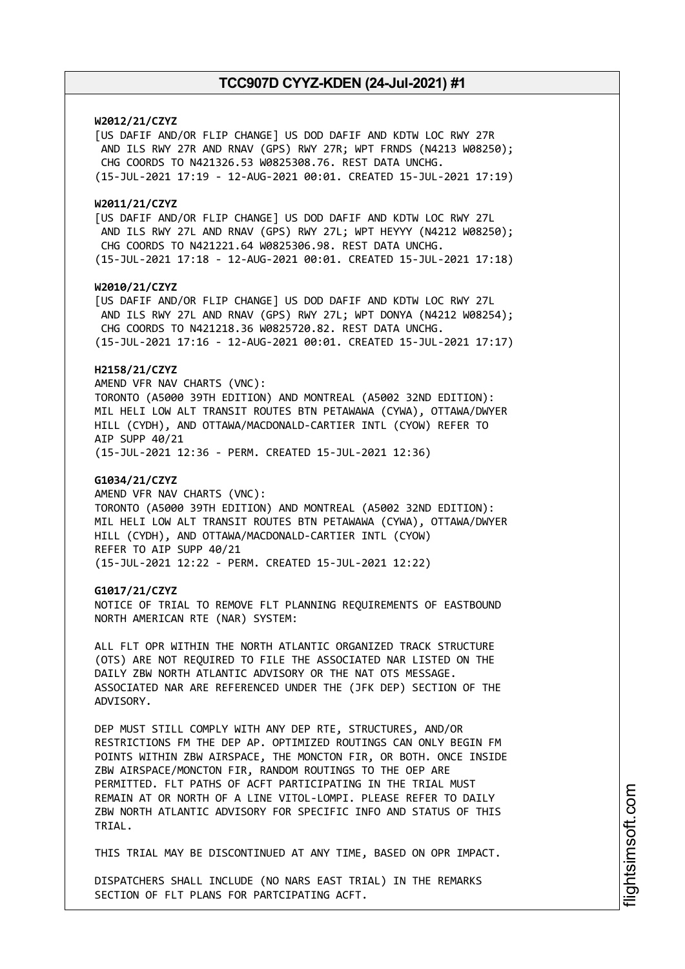### **W2012/21/CZYZ**

[US DAFIF AND/OR FLIP CHANGE] US DOD DAFIF AND KDTW LOC RWY 27R AND ILS RWY 27R AND RNAV (GPS) RWY 27R; WPT FRNDS (N4213 W08250); CHG COORDS TO N421326.53 W0825308.76. REST DATA UNCHG. (15-JUL-2021 17:19 - 12-AUG-2021 00:01. CREATED 15-JUL-2021 17:19)

#### **W2011/21/CZYZ**

[US DAFIF AND/OR FLIP CHANGE] US DOD DAFIF AND KDTW LOC RWY 27L AND ILS RWY 27L AND RNAV (GPS) RWY 27L; WPT HEYYY (N4212 W08250); CHG COORDS TO N421221.64 W0825306.98. REST DATA UNCHG. (15-JUL-2021 17:18 - 12-AUG-2021 00:01. CREATED 15-JUL-2021 17:18)

#### **W2010/21/CZYZ**

[US DAFIF AND/OR FLIP CHANGE] US DOD DAFIF AND KDTW LOC RWY 27L AND ILS RWY 27L AND RNAV (GPS) RWY 27L; WPT DONYA (N4212 W08254); CHG COORDS TO N421218.36 W0825720.82. REST DATA UNCHG.

# (15-JUL-2021 17:16 - 12-AUG-2021 00:01. CREATED 15-JUL-2021 17:17)

# **H2158/21/CZYZ**

AMEND VFR NAV CHARTS (VNC): TORONTO (A5000 39TH EDITION) AND MONTREAL (A5002 32ND EDITION): MIL HELI LOW ALT TRANSIT ROUTES BTN PETAWAWA (CYWA), OTTAWA/DWYER HILL (CYDH), AND OTTAWA/MACDONALD-CARTIER INTL (CYOW) REFER TO AIP SUPP 40/21

(15-JUL-2021 12:36 - PERM. CREATED 15-JUL-2021 12:36)

### **G1034/21/CZYZ**

AMEND VFR NAV CHARTS (VNC): TORONTO (A5000 39TH EDITION) AND MONTREAL (A5002 32ND EDITION): MIL HELI LOW ALT TRANSIT ROUTES BTN PETAWAWA (CYWA), OTTAWA/DWYER HILL (CYDH), AND OTTAWA/MACDONALD-CARTIER INTL (CYOW) REFER TO AIP SUPP 40/21 (15-JUL-2021 12:22 - PERM. CREATED 15-JUL-2021 12:22)

#### **G1017/21/CZYZ**

NOTICE OF TRIAL TO REMOVE FLT PLANNING REQUIREMENTS OF EASTBOUND NORTH AMERICAN RTE (NAR) SYSTEM:

ALL FLT OPR WITHIN THE NORTH ATLANTIC ORGANIZED TRACK STRUCTURE (OTS) ARE NOT REQUIRED TO FILE THE ASSOCIATED NAR LISTED ON THE DAILY ZBW NORTH ATLANTIC ADVISORY OR THE NAT OTS MESSAGE. ASSOCIATED NAR ARE REFERENCED UNDER THE (JFK DEP) SECTION OF THE ADVISORY.

DEP MUST STILL COMPLY WITH ANY DEP RTE, STRUCTURES, AND/OR RESTRICTIONS FM THE DEP AP. OPTIMIZED ROUTINGS CAN ONLY BEGIN FM POINTS WITHIN ZBW AIRSPACE, THE MONCTON FIR, OR BOTH. ONCE INSIDE ZBW AIRSPACE/MONCTON FIR, RANDOM ROUTINGS TO THE OEP ARE PERMITTED. FLT PATHS OF ACFT PARTICIPATING IN THE TRIAL MUST REMAIN AT OR NORTH OF A LINE VITOL-LOMPI. PLEASE REFER TO DAILY ZBW NORTH ATLANTIC ADVISORY FOR SPECIFIC INFO AND STATUS OF THIS TRIAL.

THIS TRIAL MAY BE DISCONTINUED AT ANY TIME, BASED ON OPR IMPACT.

DISPATCHERS SHALL INCLUDE (NO NARS EAST TRIAL) IN THE REMARKS SECTION OF FLT PLANS FOR PARTCIPATING ACFT.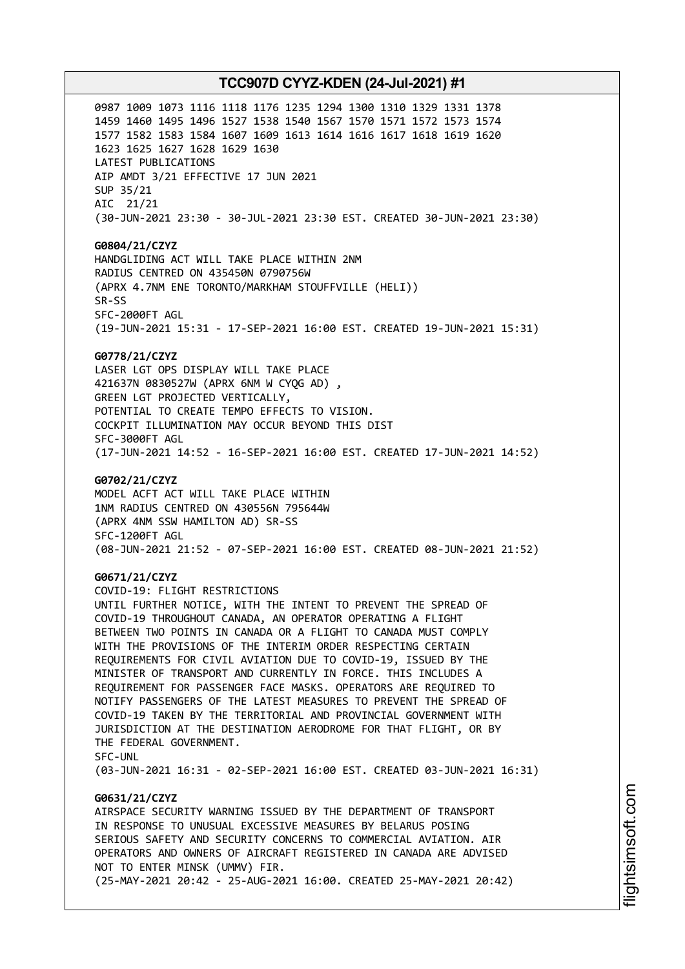0987 1009 1073 1116 1118 1176 1235 1294 1300 1310 1329 1331 1378 1459 1460 1495 1496 1527 1538 1540 1567 1570 1571 1572 1573 1574 1577 1582 1583 1584 1607 1609 1613 1614 1616 1617 1618 1619 1620 1623 1625 1627 1628 1629 1630 LATEST PUBLICATIONS AIP AMDT 3/21 EFFECTIVE 17 JUN 2021 SUP 35/21 AIC 21/21 (30-JUN-2021 23:30 - 30-JUL-2021 23:30 EST. CREATED 30-JUN-2021 23:30)

**G0804/21/CZYZ** HANDGLIDING ACT WILL TAKE PLACE WITHIN 2NM RADIUS CENTRED ON 435450N 0790756W (APRX 4.7NM ENE TORONTO/MARKHAM STOUFFVILLE (HELI)) SR-SS SFC-2000FT AGL (19-JUN-2021 15:31 - 17-SEP-2021 16:00 EST. CREATED 19-JUN-2021 15:31)

#### **G0778/21/CZYZ**

LASER LGT OPS DISPLAY WILL TAKE PLACE 421637N 0830527W (APRX 6NM W CYQG AD) , GREEN LGT PROJECTED VERTICALLY, POTENTIAL TO CREATE TEMPO EFFECTS TO VISION. COCKPIT ILLUMINATION MAY OCCUR BEYOND THIS DIST SFC-3000FT AGL (17-JUN-2021 14:52 - 16-SEP-2021 16:00 EST. CREATED 17-JUN-2021 14:52)

#### **G0702/21/CZYZ**

MODEL ACFT ACT WILL TAKE PLACE WITHIN 1NM RADIUS CENTRED ON 430556N 795644W (APRX 4NM SSW HAMILTON AD) SR-SS SFC-1200FT AGL (08-JUN-2021 21:52 - 07-SEP-2021 16:00 EST. CREATED 08-JUN-2021 21:52)

#### **G0671/21/CZYZ**

COVID-19: FLIGHT RESTRICTIONS UNTIL FURTHER NOTICE, WITH THE INTENT TO PREVENT THE SPREAD OF COVID-19 THROUGHOUT CANADA, AN OPERATOR OPERATING A FLIGHT BETWEEN TWO POINTS IN CANADA OR A FLIGHT TO CANADA MUST COMPLY WITH THE PROVISIONS OF THE INTERIM ORDER RESPECTING CERTAIN REQUIREMENTS FOR CIVIL AVIATION DUE TO COVID-19, ISSUED BY THE MINISTER OF TRANSPORT AND CURRENTLY IN FORCE. THIS INCLUDES A REQUIREMENT FOR PASSENGER FACE MASKS. OPERATORS ARE REQUIRED TO NOTIFY PASSENGERS OF THE LATEST MEASURES TO PREVENT THE SPREAD OF COVID-19 TAKEN BY THE TERRITORIAL AND PROVINCIAL GOVERNMENT WITH JURISDICTION AT THE DESTINATION AERODROME FOR THAT FLIGHT, OR BY THE FEDERAL GOVERNMENT. SFC-UNL

(03-JUN-2021 16:31 - 02-SEP-2021 16:00 EST. CREATED 03-JUN-2021 16:31)

# **G0631/21/CZYZ**

AIRSPACE SECURITY WARNING ISSUED BY THE DEPARTMENT OF TRANSPORT IN RESPONSE TO UNUSUAL EXCESSIVE MEASURES BY BELARUS POSING SERIOUS SAFETY AND SECURITY CONCERNS TO COMMERCIAL AVIATION. AIR OPERATORS AND OWNERS OF AIRCRAFT REGISTERED IN CANADA ARE ADVISED NOT TO ENTER MINSK (UMMV) FIR. (25-MAY-2021 20:42 - 25-AUG-2021 16:00. CREATED 25-MAY-2021 20:42)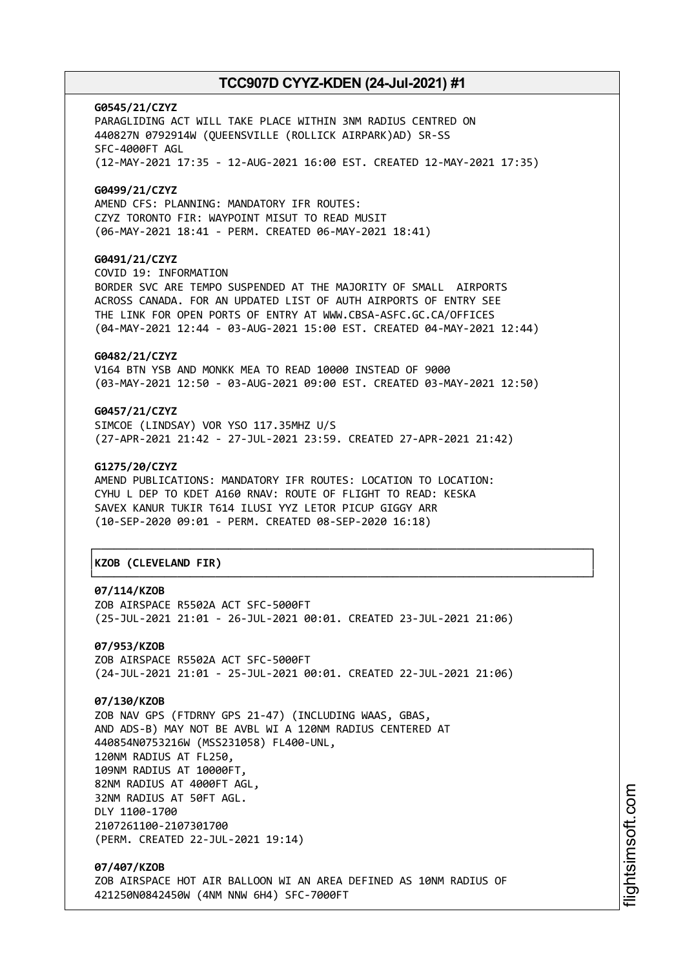**G0545/21/CZYZ** PARAGLIDING ACT WILL TAKE PLACE WITHIN 3NM RADIUS CENTRED ON 440827N 0792914W (QUEENSVILLE (ROLLICK AIRPARK)AD) SR-SS SFC-4000FT AGL (12-MAY-2021 17:35 - 12-AUG-2021 16:00 EST. CREATED 12-MAY-2021 17:35) **G0499/21/CZYZ** AMEND CFS: PLANNING: MANDATORY IFR ROUTES:

CZYZ TORONTO FIR: WAYPOINT MISUT TO READ MUSIT (06-MAY-2021 18:41 - PERM. CREATED 06-MAY-2021 18:41)

# **G0491/21/CZYZ**

COVID 19: INFORMATION BORDER SVC ARE TEMPO SUSPENDED AT THE MAJORITY OF SMALL AIRPORTS ACROSS CANADA. FOR AN UPDATED LIST OF AUTH AIRPORTS OF ENTRY SEE THE LINK FOR OPEN PORTS OF ENTRY AT WWW.CBSA-ASFC.GC.CA/OFFICES (04-MAY-2021 12:44 - 03-AUG-2021 15:00 EST. CREATED 04-MAY-2021 12:44)

# **G0482/21/CZYZ**

V164 BTN YSB AND MONKK MEA TO READ 10000 INSTEAD OF 9000 (03-MAY-2021 12:50 - 03-AUG-2021 09:00 EST. CREATED 03-MAY-2021 12:50)

# **G0457/21/CZYZ**

SIMCOE (LINDSAY) VOR YSO 117.35MHZ U/S (27-APR-2021 21:42 - 27-JUL-2021 23:59. CREATED 27-APR-2021 21:42)

#### **G1275/20/CZYZ**

AMEND PUBLICATIONS: MANDATORY IFR ROUTES: LOCATION TO LOCATION: CYHU L DEP TO KDET A160 RNAV: ROUTE OF FLIGHT TO READ: KESKA SAVEX KANUR TUKIR T614 ILUSI YYZ LETOR PICUP GIGGY ARR (10-SEP-2020 09:01 - PERM. CREATED 08-SEP-2020 16:18)

# │**KZOB (CLEVELAND FIR)** │

#### **07/114/KZOB**

ZOB AIRSPACE R5502A ACT SFC-5000FT (25-JUL-2021 21:01 - 26-JUL-2021 00:01. CREATED 23-JUL-2021 21:06)

┌──────────────────────────────────────────────────────────────────────────────┐

└──────────────────────────────────────────────────────────────────────────────┘

**07/953/KZOB** ZOB AIRSPACE R5502A ACT SFC-5000FT (24-JUL-2021 21:01 - 25-JUL-2021 00:01. CREATED 22-JUL-2021 21:06)

# **07/130/KZOB**

ZOB NAV GPS (FTDRNY GPS 21-47) (INCLUDING WAAS, GBAS, AND ADS-B) MAY NOT BE AVBL WI A 120NM RADIUS CENTERED AT 440854N0753216W (MSS231058) FL400-UNL, 120NM RADIUS AT FL250, 109NM RADIUS AT 10000FT, 82NM RADIUS AT 4000FT AGL, 32NM RADIUS AT 50FT AGL. DLY 1100-1700 2107261100-2107301700 (PERM. CREATED 22-JUL-2021 19:14)

**07/407/KZOB** ZOB AIRSPACE HOT AIR BALLOON WI AN AREA DEFINED AS 10NM RADIUS OF 421250N0842450W (4NM NNW 6H4) SFC-7000FT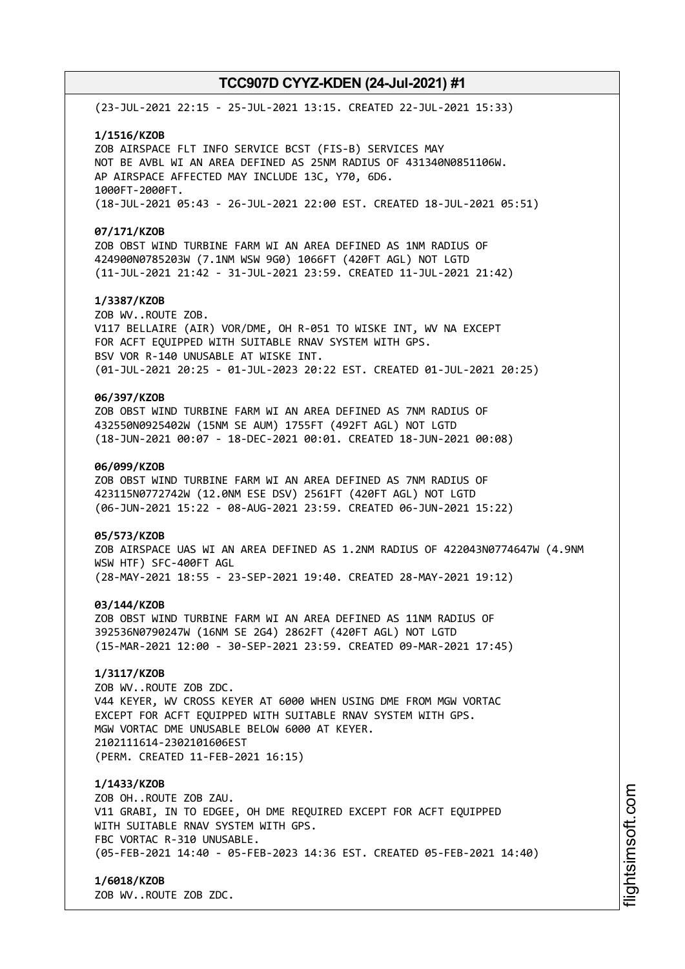(23-JUL-2021 22:15 - 25-JUL-2021 13:15. CREATED 22-JUL-2021 15:33)

#### **1/1516/KZOB**

ZOB AIRSPACE FLT INFO SERVICE BCST (FIS-B) SERVICES MAY NOT BE AVBL WI AN AREA DEFINED AS 25NM RADIUS OF 431340N0851106W. AP AIRSPACE AFFECTED MAY INCLUDE 13C, Y70, 6D6. 1000FT-2000FT. (18-JUL-2021 05:43 - 26-JUL-2021 22:00 EST. CREATED 18-JUL-2021 05:51)

#### **07/171/KZOB**

ZOB OBST WIND TURBINE FARM WI AN AREA DEFINED AS 1NM RADIUS OF 424900N0785203W (7.1NM WSW 9G0) 1066FT (420FT AGL) NOT LGTD (11-JUL-2021 21:42 - 31-JUL-2021 23:59. CREATED 11-JUL-2021 21:42)

# **1/3387/KZOB**

ZOB WV..ROUTE ZOB. V117 BELLAIRE (AIR) VOR/DME, OH R-051 TO WISKE INT, WV NA EXCEPT FOR ACFT EQUIPPED WITH SUITABLE RNAV SYSTEM WITH GPS. BSV VOR R-140 UNUSABLE AT WISKE INT. (01-JUL-2021 20:25 - 01-JUL-2023 20:22 EST. CREATED 01-JUL-2021 20:25)

# **06/397/KZOB**

ZOB OBST WIND TURBINE FARM WI AN AREA DEFINED AS 7NM RADIUS OF 432550N0925402W (15NM SE AUM) 1755FT (492FT AGL) NOT LGTD (18-JUN-2021 00:07 - 18-DEC-2021 00:01. CREATED 18-JUN-2021 00:08)

### **06/099/KZOB**

ZOB OBST WIND TURBINE FARM WI AN AREA DEFINED AS 7NM RADIUS OF 423115N0772742W (12.0NM ESE DSV) 2561FT (420FT AGL) NOT LGTD (06-JUN-2021 15:22 - 08-AUG-2021 23:59. CREATED 06-JUN-2021 15:22)

#### **05/573/KZOB**

ZOB AIRSPACE UAS WI AN AREA DEFINED AS 1.2NM RADIUS OF 422043N0774647W (4.9NM WSW HTF) SFC-400FT AGL (28-MAY-2021 18:55 - 23-SEP-2021 19:40. CREATED 28-MAY-2021 19:12)

#### **03/144/KZOB**

ZOB OBST WIND TURBINE FARM WI AN AREA DEFINED AS 11NM RADIUS OF 392536N0790247W (16NM SE 2G4) 2862FT (420FT AGL) NOT LGTD (15-MAR-2021 12:00 - 30-SEP-2021 23:59. CREATED 09-MAR-2021 17:45)

# **1/3117/KZOB**

ZOB WV..ROUTE ZOB ZDC. V44 KEYER, WV CROSS KEYER AT 6000 WHEN USING DME FROM MGW VORTAC EXCEPT FOR ACFT EQUIPPED WITH SUITABLE RNAV SYSTEM WITH GPS. MGW VORTAC DME UNUSABLE BELOW 6000 AT KEYER. 2102111614-2302101606EST (PERM. CREATED 11-FEB-2021 16:15)

#### **1/1433/KZOB**

ZOB OH..ROUTE ZOB ZAU. V11 GRABI, IN TO EDGEE, OH DME REQUIRED EXCEPT FOR ACFT EQUIPPED WITH SUITABLE RNAV SYSTEM WITH GPS. FBC VORTAC R-310 UNUSABLE. (05-FEB-2021 14:40 - 05-FEB-2023 14:36 EST. CREATED 05-FEB-2021 14:40)

### **1/6018/KZOB**

ZOB WV..ROUTE ZOB ZDC.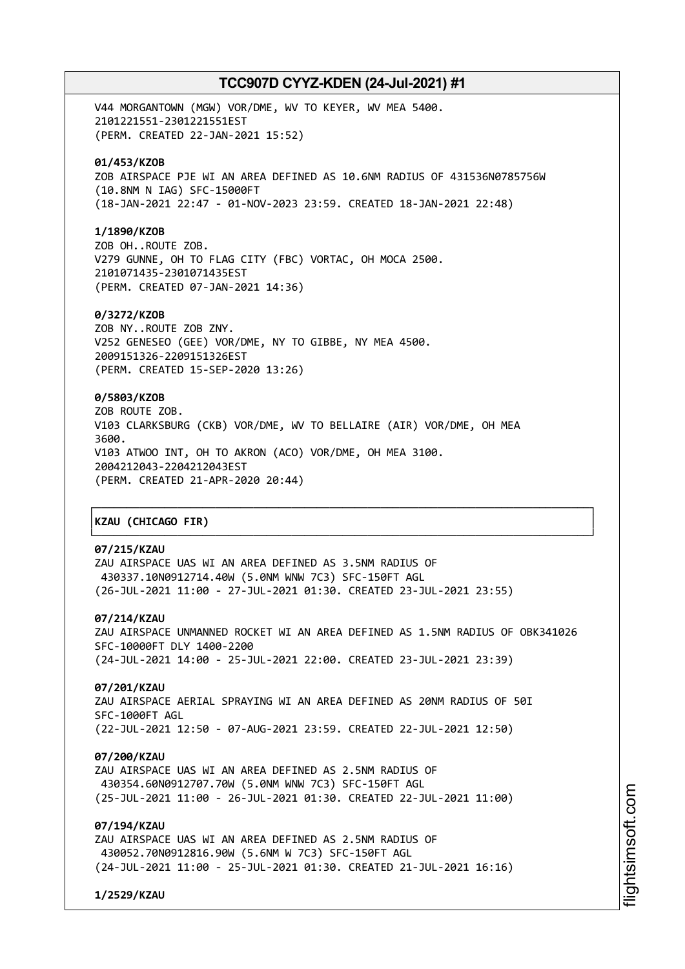V44 MORGANTOWN (MGW) VOR/DME, WV TO KEYER, WV MEA 5400. 2101221551-2301221551EST (PERM. CREATED 22-JAN-2021 15:52)

### **01/453/KZOB**

ZOB AIRSPACE PJE WI AN AREA DEFINED AS 10.6NM RADIUS OF 431536N0785756W (10.8NM N IAG) SFC-15000FT (18-JAN-2021 22:47 - 01-NOV-2023 23:59. CREATED 18-JAN-2021 22:48)

#### **1/1890/KZOB**

ZOB OH..ROUTE ZOB. V279 GUNNE, OH TO FLAG CITY (FBC) VORTAC, OH MOCA 2500. 2101071435-2301071435EST (PERM. CREATED 07-JAN-2021 14:36)

### **0/3272/KZOB**

ZOB NY..ROUTE ZOB ZNY. V252 GENESEO (GEE) VOR/DME, NY TO GIBBE, NY MEA 4500. 2009151326-2209151326EST (PERM. CREATED 15-SEP-2020 13:26)

# **0/5803/KZOB**

ZOB ROUTE ZOB. V103 CLARKSBURG (CKB) VOR/DME, WV TO BELLAIRE (AIR) VOR/DME, OH MEA 3600. V103 ATWOO INT, OH TO AKRON (ACO) VOR/DME, OH MEA 3100. 2004212043-2204212043EST (PERM. CREATED 21-APR-2020 20:44)

# │**KZAU (CHICAGO FIR)** │

# **07/215/KZAU**

ZAU AIRSPACE UAS WI AN AREA DEFINED AS 3.5NM RADIUS OF 430337.10N0912714.40W (5.0NM WNW 7C3) SFC-150FT AGL (26-JUL-2021 11:00 - 27-JUL-2021 01:30. CREATED 23-JUL-2021 23:55)

### **07/214/KZAU**

ZAU AIRSPACE UNMANNED ROCKET WI AN AREA DEFINED AS 1.5NM RADIUS OF OBK341026 SFC-10000FT DLY 1400-2200 (24-JUL-2021 14:00 - 25-JUL-2021 22:00. CREATED 23-JUL-2021 23:39)

┌──────────────────────────────────────────────────────────────────────────────┐

└──────────────────────────────────────────────────────────────────────────────┘

### **07/201/KZAU**

ZAU AIRSPACE AERIAL SPRAYING WI AN AREA DEFINED AS 20NM RADIUS OF 50I SFC-1000FT AGL (22-JUL-2021 12:50 - 07-AUG-2021 23:59. CREATED 22-JUL-2021 12:50)

#### **07/200/KZAU**

ZAU AIRSPACE UAS WI AN AREA DEFINED AS 2.5NM RADIUS OF 430354.60N0912707.70W (5.0NM WNW 7C3) SFC-150FT AGL (25-JUL-2021 11:00 - 26-JUL-2021 01:30. CREATED 22-JUL-2021 11:00)

# **07/194/KZAU**

ZAU AIRSPACE UAS WI AN AREA DEFINED AS 2.5NM RADIUS OF 430052.70N0912816.90W (5.6NM W 7C3) SFC-150FT AGL (24-JUL-2021 11:00 - 25-JUL-2021 01:30. CREATED 21-JUL-2021 16:16)

**1/2529/KZAU**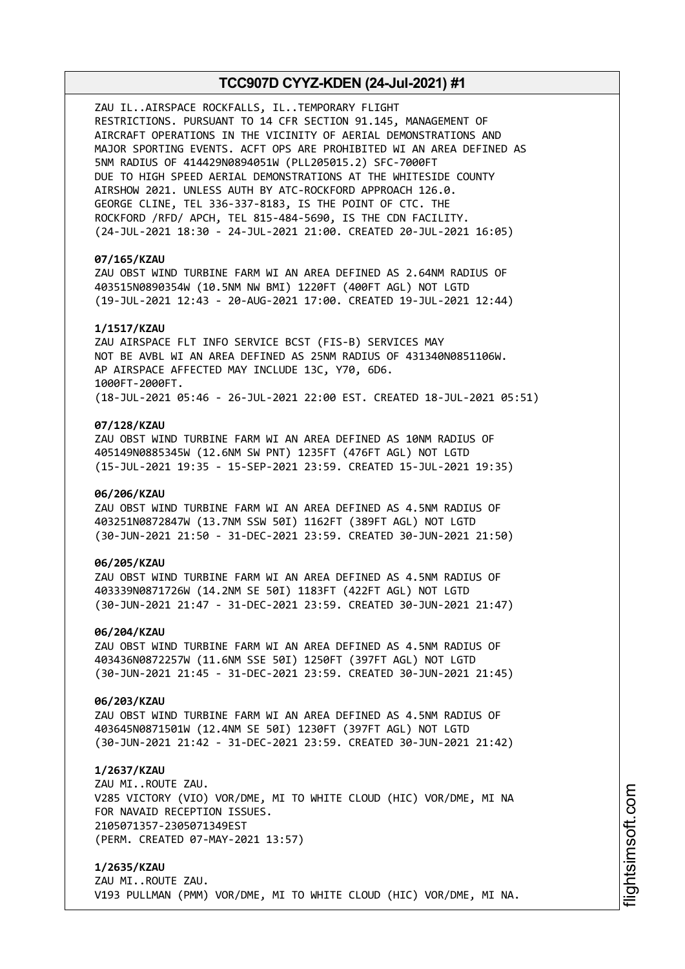ZAU IL..AIRSPACE ROCKFALLS, IL..TEMPORARY FLIGHT RESTRICTIONS. PURSUANT TO 14 CFR SECTION 91.145, MANAGEMENT OF AIRCRAFT OPERATIONS IN THE VICINITY OF AERIAL DEMONSTRATIONS AND MAJOR SPORTING EVENTS. ACFT OPS ARE PROHIBITED WI AN AREA DEFINED AS 5NM RADIUS OF 414429N0894051W (PLL205015.2) SFC-7000FT DUE TO HIGH SPEED AERIAL DEMONSTRATIONS AT THE WHITESIDE COUNTY AIRSHOW 2021. UNLESS AUTH BY ATC-ROCKFORD APPROACH 126.0. GEORGE CLINE, TEL 336-337-8183, IS THE POINT OF CTC. THE ROCKFORD /RFD/ APCH, TEL 815-484-5690, IS THE CDN FACILITY. (24-JUL-2021 18:30 - 24-JUL-2021 21:00. CREATED 20-JUL-2021 16:05)

### **07/165/KZAU**

ZAU OBST WIND TURBINE FARM WI AN AREA DEFINED AS 2.64NM RADIUS OF 403515N0890354W (10.5NM NW BMI) 1220FT (400FT AGL) NOT LGTD (19-JUL-2021 12:43 - 20-AUG-2021 17:00. CREATED 19-JUL-2021 12:44)

#### **1/1517/KZAU**

ZAU AIRSPACE FLT INFO SERVICE BCST (FIS-B) SERVICES MAY NOT BE AVBL WI AN AREA DEFINED AS 25NM RADIUS OF 431340N0851106W. AP AIRSPACE AFFECTED MAY INCLUDE 13C, Y70, 6D6. 1000FT-2000FT. (18-JUL-2021 05:46 - 26-JUL-2021 22:00 EST. CREATED 18-JUL-2021 05:51)

#### **07/128/KZAU**

ZAU OBST WIND TURBINE FARM WI AN AREA DEFINED AS 10NM RADIUS OF 405149N0885345W (12.6NM SW PNT) 1235FT (476FT AGL) NOT LGTD (15-JUL-2021 19:35 - 15-SEP-2021 23:59. CREATED 15-JUL-2021 19:35)

### **06/206/KZAU**

ZAU OBST WIND TURBINE FARM WI AN AREA DEFINED AS 4.5NM RADIUS OF 403251N0872847W (13.7NM SSW 50I) 1162FT (389FT AGL) NOT LGTD (30-JUN-2021 21:50 - 31-DEC-2021 23:59. CREATED 30-JUN-2021 21:50)

### **06/205/KZAU**

ZAU OBST WIND TURBINE FARM WI AN AREA DEFINED AS 4.5NM RADIUS OF 403339N0871726W (14.2NM SE 50I) 1183FT (422FT AGL) NOT LGTD (30-JUN-2021 21:47 - 31-DEC-2021 23:59. CREATED 30-JUN-2021 21:47)

#### **06/204/KZAU**

ZAU OBST WIND TURBINE FARM WI AN AREA DEFINED AS 4.5NM RADIUS OF 403436N0872257W (11.6NM SSE 50I) 1250FT (397FT AGL) NOT LGTD (30-JUN-2021 21:45 - 31-DEC-2021 23:59. CREATED 30-JUN-2021 21:45)

#### **06/203/KZAU**

ZAU OBST WIND TURBINE FARM WI AN AREA DEFINED AS 4.5NM RADIUS OF 403645N0871501W (12.4NM SE 50I) 1230FT (397FT AGL) NOT LGTD (30-JUN-2021 21:42 - 31-DEC-2021 23:59. CREATED 30-JUN-2021 21:42)

#### **1/2637/KZAU**

ZAU MI..ROUTE ZAU. V285 VICTORY (VIO) VOR/DME, MI TO WHITE CLOUD (HIC) VOR/DME, MI NA FOR NAVAID RECEPTION ISSUES. 2105071357-2305071349EST (PERM. CREATED 07-MAY-2021 13:57)

**1/2635/KZAU** ZAU MI..ROUTE ZAU. V193 PULLMAN (PMM) VOR/DME, MI TO WHITE CLOUD (HIC) VOR/DME, MI NA.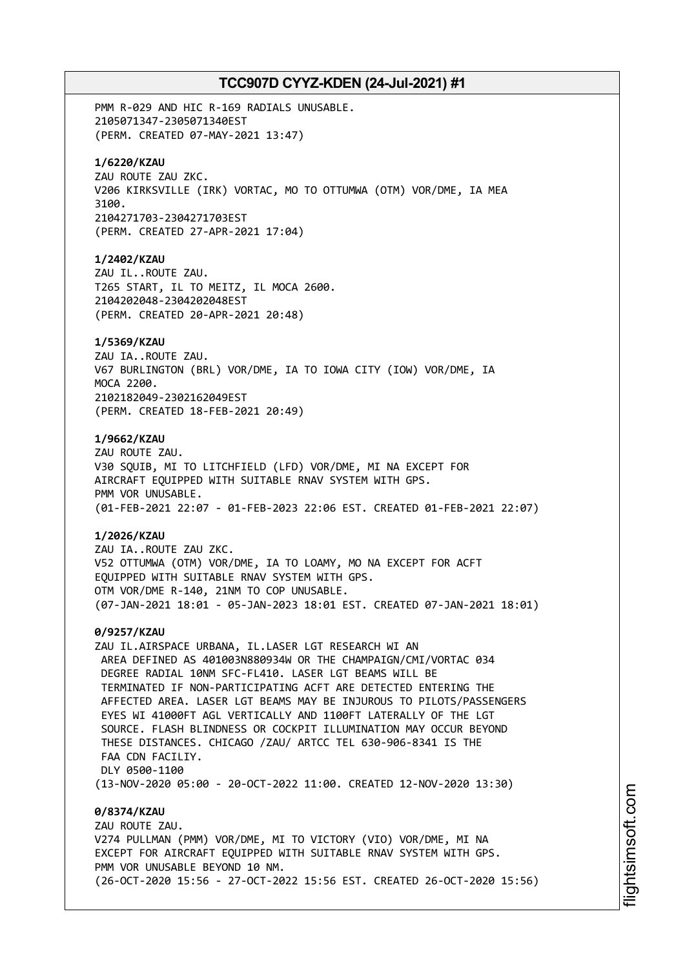PMM R-029 AND HIC R-169 RADIALS UNUSABLE. 2105071347-2305071340EST (PERM. CREATED 07-MAY-2021 13:47) **1/6220/KZAU** ZAU ROUTE ZAU ZKC. V206 KIRKSVILLE (IRK) VORTAC, MO TO OTTUMWA (OTM) VOR/DME, IA MEA 3100. 2104271703-2304271703EST (PERM. CREATED 27-APR-2021 17:04) **1/2402/KZAU** ZAU IL..ROUTE ZAU. T265 START, IL TO MEITZ, IL MOCA 2600. 2104202048-2304202048EST (PERM. CREATED 20-APR-2021 20:48) **1/5369/KZAU** ZAU IA..ROUTE ZAU. V67 BURLINGTON (BRL) VOR/DME, IA TO IOWA CITY (IOW) VOR/DME, IA MOCA 2200. 2102182049-2302162049EST (PERM. CREATED 18-FEB-2021 20:49) **1/9662/KZAU** ZAU ROUTE ZAU. V30 SQUIB, MI TO LITCHFIELD (LFD) VOR/DME, MI NA EXCEPT FOR AIRCRAFT EQUIPPED WITH SUITABLE RNAV SYSTEM WITH GPS. PMM VOR UNUSABLE. (01-FEB-2021 22:07 - 01-FEB-2023 22:06 EST. CREATED 01-FEB-2021 22:07) **1/2026/KZAU** ZAU IA..ROUTE ZAU ZKC. V52 OTTUMWA (OTM) VOR/DME, IA TO LOAMY, MO NA EXCEPT FOR ACFT EQUIPPED WITH SUITABLE RNAV SYSTEM WITH GPS. OTM VOR/DME R-140, 21NM TO COP UNUSABLE. (07-JAN-2021 18:01 - 05-JAN-2023 18:01 EST. CREATED 07-JAN-2021 18:01) **0/9257/KZAU** ZAU IL.AIRSPACE URBANA, IL.LASER LGT RESEARCH WI AN AREA DEFINED AS 401003N880934W OR THE CHAMPAIGN/CMI/VORTAC 034 DEGREE RADIAL 10NM SFC-FL410. LASER LGT BEAMS WILL BE TERMINATED IF NON-PARTICIPATING ACFT ARE DETECTED ENTERING THE AFFECTED AREA. LASER LGT BEAMS MAY BE INJUROUS TO PILOTS/PASSENGERS EYES WI 41000FT AGL VERTICALLY AND 1100FT LATERALLY OF THE LGT SOURCE. FLASH BLINDNESS OR COCKPIT ILLUMINATION MAY OCCUR BEYOND THESE DISTANCES. CHICAGO /ZAU/ ARTCC TEL 630-906-8341 IS THE FAA CDN FACTLTY. DLY 0500-1100 (13-NOV-2020 05:00 - 20-OCT-2022 11:00. CREATED 12-NOV-2020 13:30) **0/8374/KZAU** ZAU ROUTE ZAU. V274 PULLMAN (PMM) VOR/DME, MI TO VICTORY (VIO) VOR/DME, MI NA EXCEPT FOR AIRCRAFT EQUIPPED WITH SUITABLE RNAV SYSTEM WITH GPS. PMM VOR UNUSABLE BEYOND 10 NM.

(26-OCT-2020 15:56 - 27-OCT-2022 15:56 EST. CREATED 26-OCT-2020 15:56)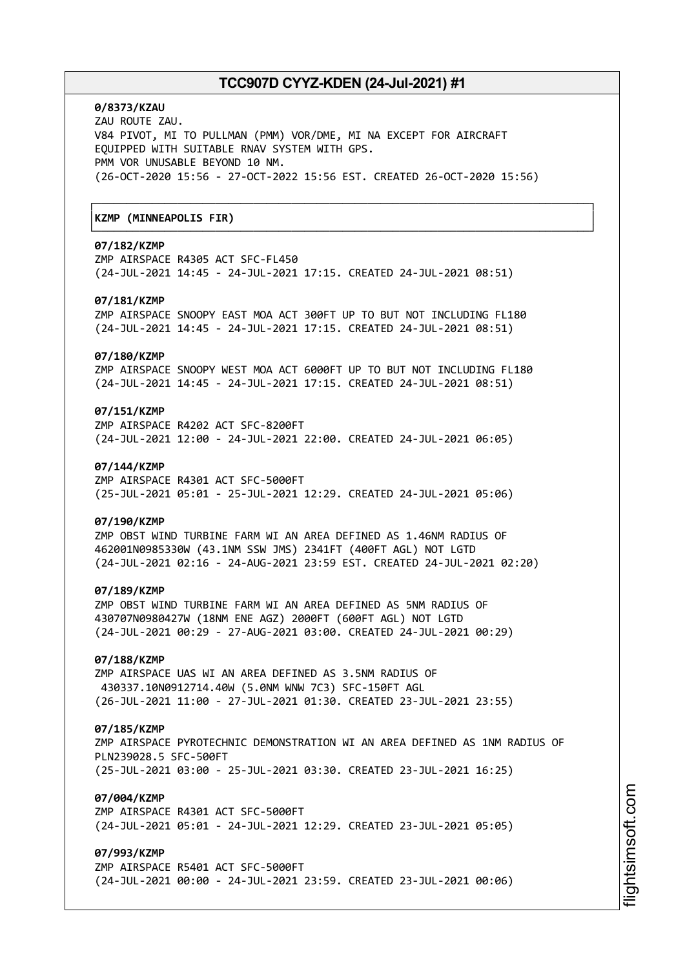┌──────────────────────────────────────────────────────────────────────────────┐

└──────────────────────────────────────────────────────────────────────────────┘

# **0/8373/KZAU**

ZAU ROUTE ZAU. V84 PIVOT, MI TO PULLMAN (PMM) VOR/DME, MI NA EXCEPT FOR AIRCRAFT EQUIPPED WITH SUITABLE RNAV SYSTEM WITH GPS. PMM VOR UNUSABLE BEYOND 10 NM. (26-OCT-2020 15:56 - 27-OCT-2022 15:56 EST. CREATED 26-OCT-2020 15:56)

# │**KZMP (MINNEAPOLIS FIR)** │

# **07/182/KZMP**

ZMP AIRSPACE R4305 ACT SFC-FL450 (24-JUL-2021 14:45 - 24-JUL-2021 17:15. CREATED 24-JUL-2021 08:51)

### **07/181/KZMP**

ZMP AIRSPACE SNOOPY EAST MOA ACT 300FT UP TO BUT NOT INCLUDING FL180 (24-JUL-2021 14:45 - 24-JUL-2021 17:15. CREATED 24-JUL-2021 08:51)

#### **07/180/KZMP**

ZMP AIRSPACE SNOOPY WEST MOA ACT 6000FT UP TO BUT NOT INCLUDING FL180 (24-JUL-2021 14:45 - 24-JUL-2021 17:15. CREATED 24-JUL-2021 08:51)

# **07/151/KZMP**

ZMP AIRSPACE R4202 ACT SFC-8200FT (24-JUL-2021 12:00 - 24-JUL-2021 22:00. CREATED 24-JUL-2021 06:05)

#### **07/144/KZMP**

ZMP AIRSPACE R4301 ACT SFC-5000FT (25-JUL-2021 05:01 - 25-JUL-2021 12:29. CREATED 24-JUL-2021 05:06)

#### **07/190/KZMP**

ZMP OBST WIND TURBINE FARM WI AN AREA DEFINED AS 1.46NM RADIUS OF 462001N0985330W (43.1NM SSW JMS) 2341FT (400FT AGL) NOT LGTD (24-JUL-2021 02:16 - 24-AUG-2021 23:59 EST. CREATED 24-JUL-2021 02:20)

#### **07/189/KZMP**

ZMP OBST WIND TURBINE FARM WI AN AREA DEFINED AS 5NM RADIUS OF 430707N0980427W (18NM ENE AGZ) 2000FT (600FT AGL) NOT LGTD (24-JUL-2021 00:29 - 27-AUG-2021 03:00. CREATED 24-JUL-2021 00:29)

# **07/188/KZMP**

ZMP AIRSPACE UAS WI AN AREA DEFINED AS 3.5NM RADIUS OF 430337.10N0912714.40W (5.0NM WNW 7C3) SFC-150FT AGL (26-JUL-2021 11:00 - 27-JUL-2021 01:30. CREATED 23-JUL-2021 23:55)

#### **07/185/KZMP**

ZMP AIRSPACE PYROTECHNIC DEMONSTRATION WI AN AREA DEFINED AS 1NM RADIUS OF PLN239028.5 SFC-500FT (25-JUL-2021 03:00 - 25-JUL-2021 03:30. CREATED 23-JUL-2021 16:25)

# **07/004/KZMP**

ZMP AIRSPACE R4301 ACT SFC-5000FT (24-JUL-2021 05:01 - 24-JUL-2021 12:29. CREATED 23-JUL-2021 05:05)

# **07/993/KZMP**

ZMP AIRSPACE R5401 ACT SFC-5000FT (24-JUL-2021 00:00 - 24-JUL-2021 23:59. CREATED 23-JUL-2021 00:06)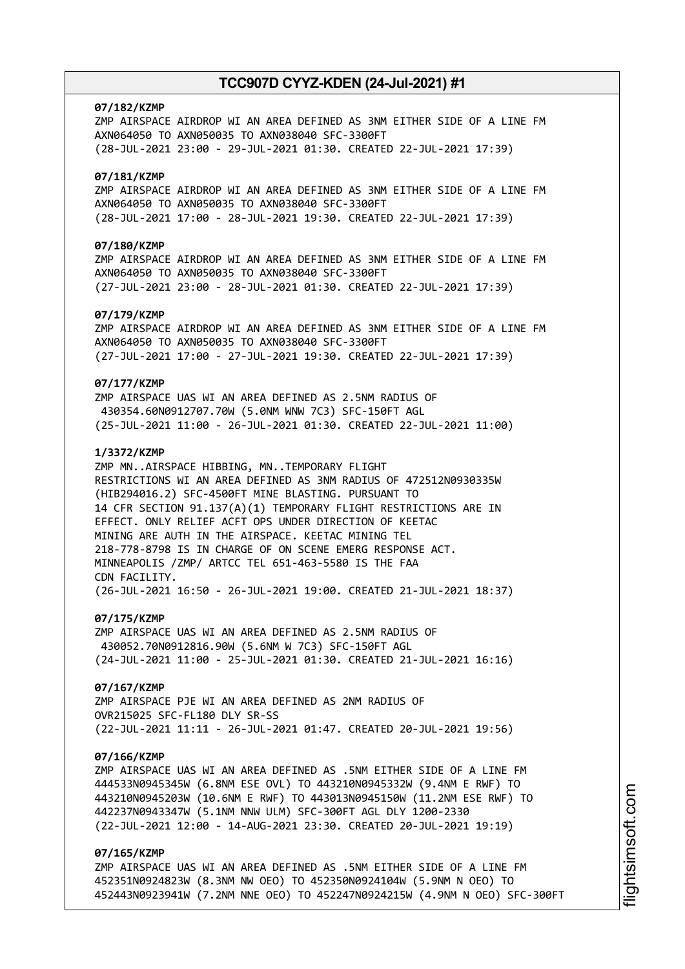#### **07/182/KZMP**

ZMP AIRSPACE AIRDROP WI AN AREA DEFINED AS 3NM EITHER SIDE OF A LINE FM AXN064050 TO AXN050035 TO AXN038040 SFC-3300FT (28-JUL-2021 23:00 - 29-JUL-2021 01:30. CREATED 22-JUL-2021 17:39)

### **07/181/KZMP**

ZMP AIRSPACE AIRDROP WI AN AREA DEFINED AS 3NM EITHER SIDE OF A LINE FM AXN064050 TO AXN050035 TO AXN038040 SFC-3300FT (28-JUL-2021 17:00 - 28-JUL-2021 19:30. CREATED 22-JUL-2021 17:39)

# **07/180/KZMP**

ZMP AIRSPACE AIRDROP WI AN AREA DEFINED AS 3NM EITHER SIDE OF A LINE FM AXN064050 TO AXN050035 TO AXN038040 SFC-3300FT (27-JUL-2021 23:00 - 28-JUL-2021 01:30. CREATED 22-JUL-2021 17:39)

### **07/179/KZMP**

ZMP AIRSPACE AIRDROP WI AN AREA DEFINED AS 3NM EITHER SIDE OF A LINE FM AXN064050 TO AXN050035 TO AXN038040 SFC-3300FT (27-JUL-2021 17:00 - 27-JUL-2021 19:30. CREATED 22-JUL-2021 17:39)

#### **07/177/KZMP**

ZMP AIRSPACE UAS WI AN AREA DEFINED AS 2.5NM RADIUS OF 430354.60N0912707.70W (5.0NM WNW 7C3) SFC-150FT AGL (25-JUL-2021 11:00 - 26-JUL-2021 01:30. CREATED 22-JUL-2021 11:00)

### **1/3372/KZMP**

ZMP MN..AIRSPACE HIBBING, MN..TEMPORARY FLIGHT RESTRICTIONS WI AN AREA DEFINED AS 3NM RADIUS OF 472512N0930335W (HIB294016.2) SFC-4500FT MINE BLASTING. PURSUANT TO 14 CFR SECTION 91.137(A)(1) TEMPORARY FLIGHT RESTRICTIONS ARE IN EFFECT. ONLY RELIEF ACFT OPS UNDER DIRECTION OF KEETAC MINING ARE AUTH IN THE AIRSPACE. KEETAC MINING TEL 218-778-8798 IS IN CHARGE OF ON SCENE EMERG RESPONSE ACT. MINNEAPOLIS /ZMP/ ARTCC TEL 651-463-5580 IS THE FAA CDN FACILITY. (26-JUL-2021 16:50 - 26-JUL-2021 19:00. CREATED 21-JUL-2021 18:37)

#### **07/175/KZMP**

ZMP AIRSPACE UAS WI AN AREA DEFINED AS 2.5NM RADIUS OF 430052.70N0912816.90W (5.6NM W 7C3) SFC-150FT AGL (24-JUL-2021 11:00 - 25-JUL-2021 01:30. CREATED 21-JUL-2021 16:16)

#### **07/167/KZMP**

ZMP AIRSPACE PJE WI AN AREA DEFINED AS 2NM RADIUS OF OVR215025 SFC-FL180 DLY SR-SS (22-JUL-2021 11:11 - 26-JUL-2021 01:47. CREATED 20-JUL-2021 19:56)

#### **07/166/KZMP**

ZMP AIRSPACE UAS WI AN AREA DEFINED AS .5NM EITHER SIDE OF A LINE FM 444533N0945345W (6.8NM ESE OVL) TO 443210N0945332W (9.4NM E RWF) TO 443210N0945203W (10.6NM E RWF) TO 443013N0945150W (11.2NM ESE RWF) TO 442237N0943347W (5.1NM NNW ULM) SFC-300FT AGL DLY 1200-2330 (22-JUL-2021 12:00 - 14-AUG-2021 23:30. CREATED 20-JUL-2021 19:19)

# **07/165/KZMP**

ZMP AIRSPACE UAS WI AN AREA DEFINED AS .5NM EITHER SIDE OF A LINE FM 452351N0924823W (8.3NM NW OEO) TO 452350N0924104W (5.9NM N OEO) TO 452443N0923941W (7.2NM NNE OEO) TO 452247N0924215W (4.9NM N OEO) SFC-300FT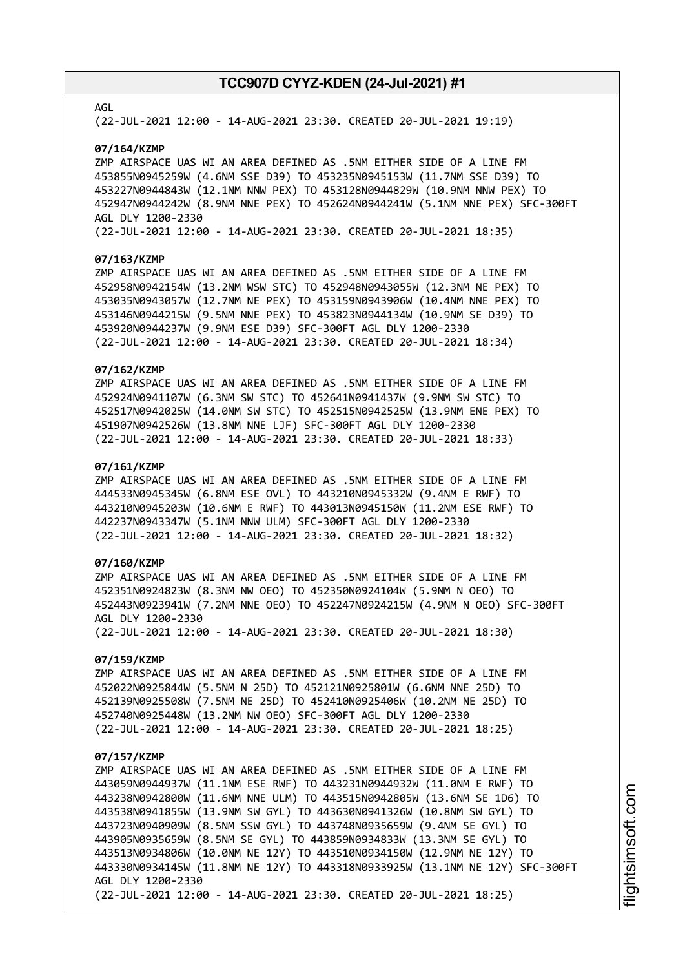#### AGL

(22-JUL-2021 12:00 - 14-AUG-2021 23:30. CREATED 20-JUL-2021 19:19)

#### **07/164/KZMP**

ZMP AIRSPACE UAS WI AN AREA DEFINED AS .5NM EITHER SIDE OF A LINE FM 453855N0945259W (4.6NM SSE D39) TO 453235N0945153W (11.7NM SSE D39) TO 453227N0944843W (12.1NM NNW PEX) TO 453128N0944829W (10.9NM NNW PEX) TO 452947N0944242W (8.9NM NNE PEX) TO 452624N0944241W (5.1NM NNE PEX) SFC-300FT AGL DLY 1200-2330

(22-JUL-2021 12:00 - 14-AUG-2021 23:30. CREATED 20-JUL-2021 18:35)

#### **07/163/KZMP**

ZMP AIRSPACE UAS WI AN AREA DEFINED AS .5NM EITHER SIDE OF A LINE FM 452958N0942154W (13.2NM WSW STC) TO 452948N0943055W (12.3NM NE PEX) TO 453035N0943057W (12.7NM NE PEX) TO 453159N0943906W (10.4NM NNE PEX) TO 453146N0944215W (9.5NM NNE PEX) TO 453823N0944134W (10.9NM SE D39) TO 453920N0944237W (9.9NM ESE D39) SFC-300FT AGL DLY 1200-2330 (22-JUL-2021 12:00 - 14-AUG-2021 23:30. CREATED 20-JUL-2021 18:34)

# **07/162/KZMP**

ZMP AIRSPACE UAS WI AN AREA DEFINED AS .5NM EITHER SIDE OF A LINE FM 452924N0941107W (6.3NM SW STC) TO 452641N0941437W (9.9NM SW STC) TO 452517N0942025W (14.0NM SW STC) TO 452515N0942525W (13.9NM ENE PEX) TO 451907N0942526W (13.8NM NNE LJF) SFC-300FT AGL DLY 1200-2330 (22-JUL-2021 12:00 - 14-AUG-2021 23:30. CREATED 20-JUL-2021 18:33)

#### **07/161/KZMP**

ZMP AIRSPACE UAS WI AN AREA DEFINED AS .5NM EITHER SIDE OF A LINE FM 444533N0945345W (6.8NM ESE OVL) TO 443210N0945332W (9.4NM E RWF) TO 443210N0945203W (10.6NM E RWF) TO 443013N0945150W (11.2NM ESE RWF) TO 442237N0943347W (5.1NM NNW ULM) SFC-300FT AGL DLY 1200-2330 (22-JUL-2021 12:00 - 14-AUG-2021 23:30. CREATED 20-JUL-2021 18:32)

### **07/160/KZMP**

ZMP AIRSPACE UAS WI AN AREA DEFINED AS .5NM EITHER SIDE OF A LINE FM 452351N0924823W (8.3NM NW OEO) TO 452350N0924104W (5.9NM N OEO) TO 452443N0923941W (7.2NM NNE OEO) TO 452247N0924215W (4.9NM N OEO) SFC-300FT AGL DLY 1200-2330 (22-JUL-2021 12:00 - 14-AUG-2021 23:30. CREATED 20-JUL-2021 18:30)

# **07/159/KZMP**

ZMP AIRSPACE UAS WI AN AREA DEFINED AS .5NM EITHER SIDE OF A LINE FM 452022N0925844W (5.5NM N 25D) TO 452121N0925801W (6.6NM NNE 25D) TO 452139N0925508W (7.5NM NE 25D) TO 452410N0925406W (10.2NM NE 25D) TO 452740N0925448W (13.2NM NW OEO) SFC-300FT AGL DLY 1200-2330 (22-JUL-2021 12:00 - 14-AUG-2021 23:30. CREATED 20-JUL-2021 18:25)

#### **07/157/KZMP**

ZMP AIRSPACE UAS WI AN AREA DEFINED AS .5NM EITHER SIDE OF A LINE FM 443059N0944937W (11.1NM ESE RWF) TO 443231N0944932W (11.0NM E RWF) TO 443238N0942800W (11.6NM NNE ULM) TO 443515N0942805W (13.6NM SE 1D6) TO 443538N0941855W (13.9NM SW GYL) TO 443630N0941326W (10.8NM SW GYL) TO 443723N0940909W (8.5NM SSW GYL) TO 443748N0935659W (9.4NM SE GYL) TO 443905N0935659W (8.5NM SE GYL) TO 443859N0934833W (13.3NM SE GYL) TO 443513N0934806W (10.0NM NE 12Y) TO 443510N0934150W (12.9NM NE 12Y) TO 443330N0934145W (11.8NM NE 12Y) TO 443318N0933925W (13.1NM NE 12Y) SFC-300FT AGL DLY 1200-2330 (22-JUL-2021 12:00 - 14-AUG-2021 23:30. CREATED 20-JUL-2021 18:25)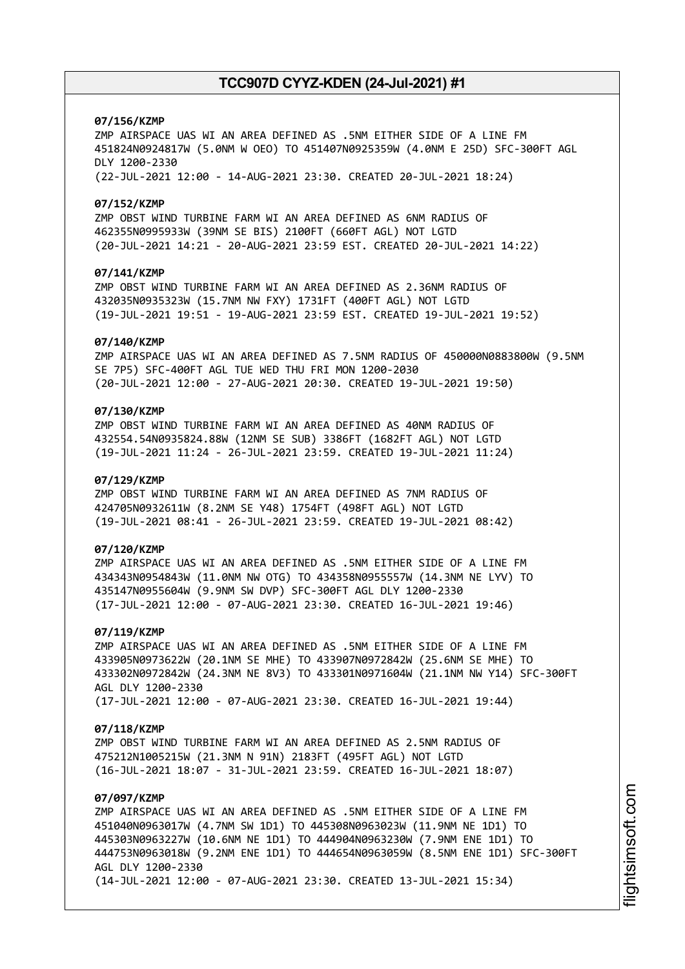#### **07/156/KZMP**

ZMP AIRSPACE UAS WI AN AREA DEFINED AS .5NM EITHER SIDE OF A LINE FM 451824N0924817W (5.0NM W OEO) TO 451407N0925359W (4.0NM E 25D) SFC-300FT AGL DLY 1200-2330 (22-JUL-2021 12:00 - 14-AUG-2021 23:30. CREATED 20-JUL-2021 18:24)

#### **07/152/KZMP**

ZMP OBST WIND TURBINE FARM WI AN AREA DEFINED AS 6NM RADIUS OF 462355N0995933W (39NM SE BIS) 2100FT (660FT AGL) NOT LGTD (20-JUL-2021 14:21 - 20-AUG-2021 23:59 EST. CREATED 20-JUL-2021 14:22)

### **07/141/KZMP**

ZMP OBST WIND TURBINE FARM WI AN AREA DEFINED AS 2.36NM RADIUS OF 432035N0935323W (15.7NM NW FXY) 1731FT (400FT AGL) NOT LGTD (19-JUL-2021 19:51 - 19-AUG-2021 23:59 EST. CREATED 19-JUL-2021 19:52)

#### **07/140/KZMP**

ZMP AIRSPACE UAS WI AN AREA DEFINED AS 7.5NM RADIUS OF 450000N0883800W (9.5NM SE 7P5) SFC-400FT AGL TUE WED THU FRI MON 1200-2030 (20-JUL-2021 12:00 - 27-AUG-2021 20:30. CREATED 19-JUL-2021 19:50)

# **07/130/KZMP**

ZMP OBST WIND TURBINE FARM WI AN AREA DEFINED AS 40NM RADIUS OF 432554.54N0935824.88W (12NM SE SUB) 3386FT (1682FT AGL) NOT LGTD (19-JUL-2021 11:24 - 26-JUL-2021 23:59. CREATED 19-JUL-2021 11:24)

#### **07/129/KZMP**

ZMP OBST WIND TURBINE FARM WI AN AREA DEFINED AS 7NM RADIUS OF 424705N0932611W (8.2NM SE Y48) 1754FT (498FT AGL) NOT LGTD (19-JUL-2021 08:41 - 26-JUL-2021 23:59. CREATED 19-JUL-2021 08:42)

### **07/120/KZMP**

ZMP AIRSPACE UAS WI AN AREA DEFINED AS .5NM EITHER SIDE OF A LINE FM 434343N0954843W (11.0NM NW OTG) TO 434358N0955557W (14.3NM NE LYV) TO 435147N0955604W (9.9NM SW DVP) SFC-300FT AGL DLY 1200-2330 (17-JUL-2021 12:00 - 07-AUG-2021 23:30. CREATED 16-JUL-2021 19:46)

#### **07/119/KZMP**

ZMP AIRSPACE UAS WI AN AREA DEFINED AS .5NM EITHER SIDE OF A LINE FM 433905N0973622W (20.1NM SE MHE) TO 433907N0972842W (25.6NM SE MHE) TO 433302N0972842W (24.3NM NE 8V3) TO 433301N0971604W (21.1NM NW Y14) SFC-300FT AGL DLY 1200-2330 (17-JUL-2021 12:00 - 07-AUG-2021 23:30. CREATED 16-JUL-2021 19:44)

#### **07/118/KZMP**

ZMP OBST WIND TURBINE FARM WI AN AREA DEFINED AS 2.5NM RADIUS OF 475212N1005215W (21.3NM N 91N) 2183FT (495FT AGL) NOT LGTD (16-JUL-2021 18:07 - 31-JUL-2021 23:59. CREATED 16-JUL-2021 18:07)

# **07/097/KZMP**

ZMP AIRSPACE UAS WI AN AREA DEFINED AS .5NM EITHER SIDE OF A LINE FM 451040N0963017W (4.7NM SW 1D1) TO 445308N0963023W (11.9NM NE 1D1) TO 445303N0963227W (10.6NM NE 1D1) TO 444904N0963230W (7.9NM ENE 1D1) TO 444753N0963018W (9.2NM ENE 1D1) TO 444654N0963059W (8.5NM ENE 1D1) SFC-300FT AGL DLY 1200-2330 (14-JUL-2021 12:00 - 07-AUG-2021 23:30. CREATED 13-JUL-2021 15:34)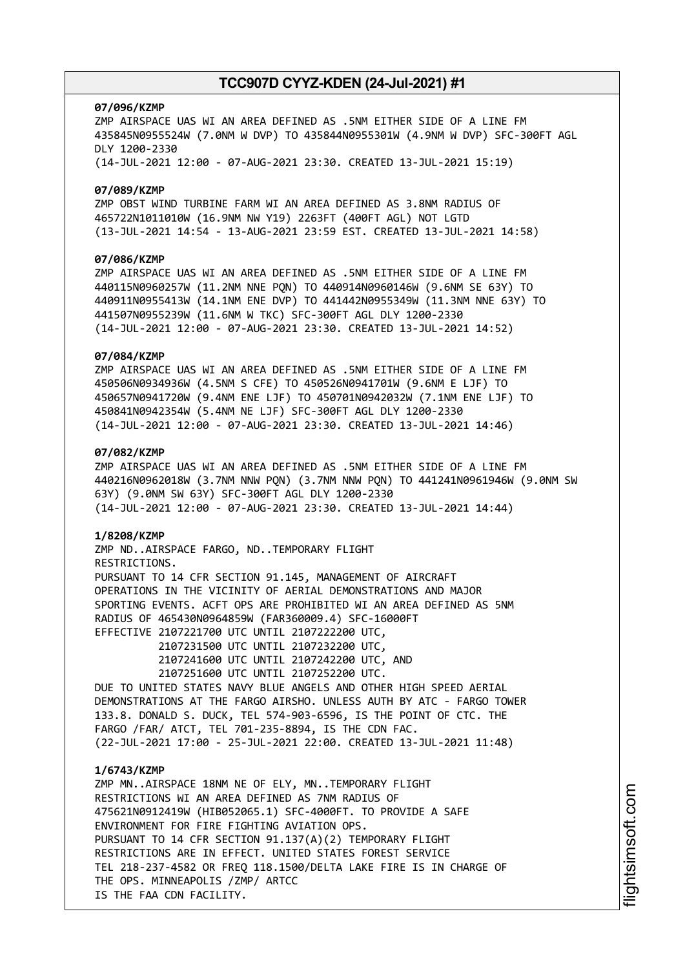#### **07/096/KZMP**

ZMP AIRSPACE UAS WI AN AREA DEFINED AS .5NM EITHER SIDE OF A LINE FM 435845N0955524W (7.0NM W DVP) TO 435844N0955301W (4.9NM W DVP) SFC-300FT AGL DLY 1200-2330 (14-JUL-2021 12:00 - 07-AUG-2021 23:30. CREATED 13-JUL-2021 15:19)

#### **07/089/KZMP**

ZMP OBST WIND TURBINE FARM WI AN AREA DEFINED AS 3.8NM RADIUS OF 465722N1011010W (16.9NM NW Y19) 2263FT (400FT AGL) NOT LGTD (13-JUL-2021 14:54 - 13-AUG-2021 23:59 EST. CREATED 13-JUL-2021 14:58)

### **07/086/KZMP**

ZMP AIRSPACE UAS WI AN AREA DEFINED AS .5NM EITHER SIDE OF A LINE FM 440115N0960257W (11.2NM NNE PQN) TO 440914N0960146W (9.6NM SE 63Y) TO 440911N0955413W (14.1NM ENE DVP) TO 441442N0955349W (11.3NM NNE 63Y) TO 441507N0955239W (11.6NM W TKC) SFC-300FT AGL DLY 1200-2330 (14-JUL-2021 12:00 - 07-AUG-2021 23:30. CREATED 13-JUL-2021 14:52)

#### **07/084/KZMP**

ZMP AIRSPACE UAS WI AN AREA DEFINED AS .5NM EITHER SIDE OF A LINE FM 450506N0934936W (4.5NM S CFE) TO 450526N0941701W (9.6NM E LJF) TO 450657N0941720W (9.4NM ENE LJF) TO 450701N0942032W (7.1NM ENE LJF) TO 450841N0942354W (5.4NM NE LJF) SFC-300FT AGL DLY 1200-2330 (14-JUL-2021 12:00 - 07-AUG-2021 23:30. CREATED 13-JUL-2021 14:46)

# **07/082/KZMP**

ZMP AIRSPACE UAS WI AN AREA DEFINED AS .5NM EITHER SIDE OF A LINE FM 440216N0962018W (3.7NM NNW PQN) (3.7NM NNW PQN) TO 441241N0961946W (9.0NM SW 63Y) (9.0NM SW 63Y) SFC-300FT AGL DLY 1200-2330 (14-JUL-2021 12:00 - 07-AUG-2021 23:30. CREATED 13-JUL-2021 14:44)

#### **1/8208/KZMP**

ZMP ND..AIRSPACE FARGO, ND..TEMPORARY FLIGHT RESTRICTIONS. PURSUANT TO 14 CFR SECTION 91.145, MANAGEMENT OF AIRCRAFT OPERATIONS IN THE VICINITY OF AERIAL DEMONSTRATIONS AND MAJOR SPORTING EVENTS. ACFT OPS ARE PROHIBITED WI AN AREA DEFINED AS 5NM RADIUS OF 465430N0964859W (FAR360009.4) SFC-16000FT EFFECTIVE 2107221700 UTC UNTIL 2107222200 UTC,

> 2107231500 UTC UNTIL 2107232200 UTC, 2107241600 UTC UNTIL 2107242200 UTC, AND 2107251600 UTC UNTIL 2107252200 UTC.

DUE TO UNITED STATES NAVY BLUE ANGELS AND OTHER HIGH SPEED AERIAL DEMONSTRATIONS AT THE FARGO AIRSHO. UNLESS AUTH BY ATC - FARGO TOWER 133.8. DONALD S. DUCK, TEL 574-903-6596, IS THE POINT OF CTC. THE FARGO /FAR/ ATCT, TEL 701-235-8894, IS THE CDN FAC. (22-JUL-2021 17:00 - 25-JUL-2021 22:00. CREATED 13-JUL-2021 11:48)

#### **1/6743/KZMP**

ZMP MN..AIRSPACE 18NM NE OF ELY, MN..TEMPORARY FLIGHT RESTRICTIONS WI AN AREA DEFINED AS 7NM RADIUS OF 475621N0912419W (HIB052065.1) SFC-4000FT. TO PROVIDE A SAFE ENVIRONMENT FOR FIRE FIGHTING AVIATION OPS. PURSUANT TO 14 CFR SECTION 91.137(A)(2) TEMPORARY FLIGHT RESTRICTIONS ARE IN EFFECT. UNITED STATES FOREST SERVICE TEL 218-237-4582 OR FREQ 118.1500/DELTA LAKE FIRE IS IN CHARGE OF THE OPS. MINNEAPOLIS /ZMP/ ARTCC IS THE FAA CDN FACILITY.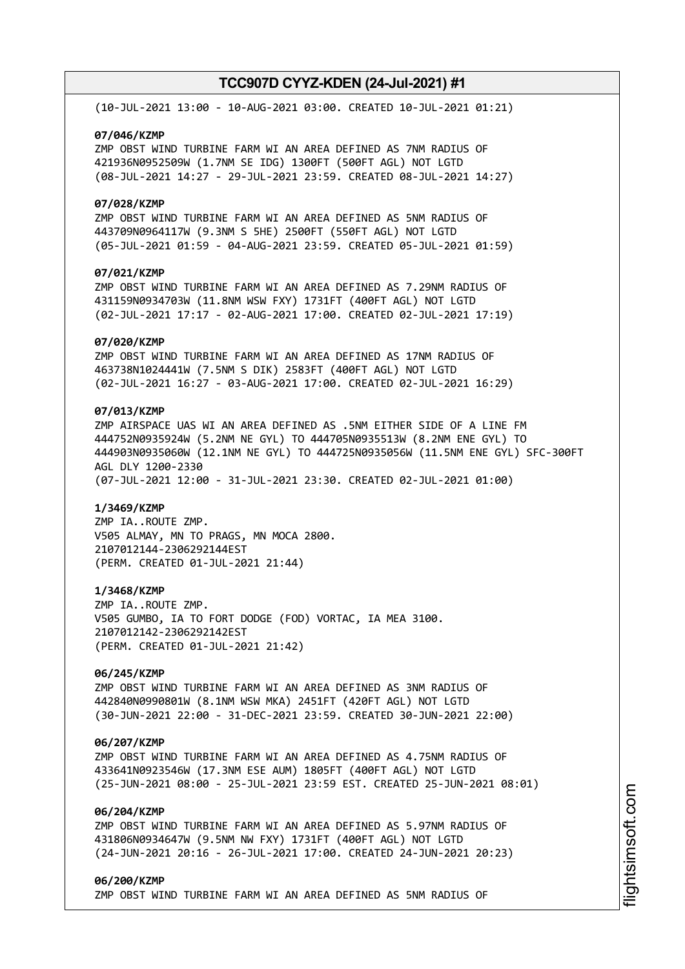(10-JUL-2021 13:00 - 10-AUG-2021 03:00. CREATED 10-JUL-2021 01:21)

#### **07/046/KZMP**

ZMP OBST WIND TURBINE FARM WI AN AREA DEFINED AS 7NM RADIUS OF 421936N0952509W (1.7NM SE IDG) 1300FT (500FT AGL) NOT LGTD (08-JUL-2021 14:27 - 29-JUL-2021 23:59. CREATED 08-JUL-2021 14:27)

#### **07/028/KZMP**

ZMP OBST WIND TURBINE FARM WI AN AREA DEFINED AS 5NM RADIUS OF 443709N0964117W (9.3NM S 5HE) 2500FT (550FT AGL) NOT LGTD (05-JUL-2021 01:59 - 04-AUG-2021 23:59. CREATED 05-JUL-2021 01:59)

# **07/021/KZMP**

ZMP OBST WIND TURBINE FARM WI AN AREA DEFINED AS 7.29NM RADIUS OF 431159N0934703W (11.8NM WSW FXY) 1731FT (400FT AGL) NOT LGTD (02-JUL-2021 17:17 - 02-AUG-2021 17:00. CREATED 02-JUL-2021 17:19)

#### **07/020/KZMP**

ZMP OBST WIND TURBINE FARM WI AN AREA DEFINED AS 17NM RADIUS OF 463738N1024441W (7.5NM S DIK) 2583FT (400FT AGL) NOT LGTD (02-JUL-2021 16:27 - 03-AUG-2021 17:00. CREATED 02-JUL-2021 16:29)

# **07/013/KZMP**

ZMP AIRSPACE UAS WI AN AREA DEFINED AS .5NM EITHER SIDE OF A LINE FM 444752N0935924W (5.2NM NE GYL) TO 444705N0935513W (8.2NM ENE GYL) TO 444903N0935060W (12.1NM NE GYL) TO 444725N0935056W (11.5NM ENE GYL) SFC-300FT AGL DLY 1200-2330 (07-JUL-2021 12:00 - 31-JUL-2021 23:30. CREATED 02-JUL-2021 01:00)

#### **1/3469/KZMP**

ZMP IA..ROUTE ZMP. V505 ALMAY, MN TO PRAGS, MN MOCA 2800. 2107012144-2306292144EST (PERM. CREATED 01-JUL-2021 21:44)

#### **1/3468/KZMP**

ZMP IA..ROUTE ZMP. V505 GUMBO, IA TO FORT DODGE (FOD) VORTAC, IA MEA 3100. 2107012142-2306292142EST (PERM. CREATED 01-JUL-2021 21:42)

# **06/245/KZMP**

ZMP OBST WIND TURBINE FARM WI AN AREA DEFINED AS 3NM RADIUS OF 442840N0990801W (8.1NM WSW MKA) 2451FT (420FT AGL) NOT LGTD (30-JUN-2021 22:00 - 31-DEC-2021 23:59. CREATED 30-JUN-2021 22:00)

#### **06/207/KZMP**

ZMP OBST WIND TURBINE FARM WI AN AREA DEFINED AS 4.75NM RADIUS OF 433641N0923546W (17.3NM ESE AUM) 1805FT (400FT AGL) NOT LGTD (25-JUN-2021 08:00 - 25-JUL-2021 23:59 EST. CREATED 25-JUN-2021 08:01)

# **06/204/KZMP**

ZMP OBST WIND TURBINE FARM WI AN AREA DEFINED AS 5.97NM RADIUS OF 431806N0934647W (9.5NM NW FXY) 1731FT (400FT AGL) NOT LGTD (24-JUN-2021 20:16 - 26-JUL-2021 17:00. CREATED 24-JUN-2021 20:23)

### **06/200/KZMP** ZMP OBST WIND TURBINE FARM WI AN AREA DEFINED AS 5NM RADIUS OF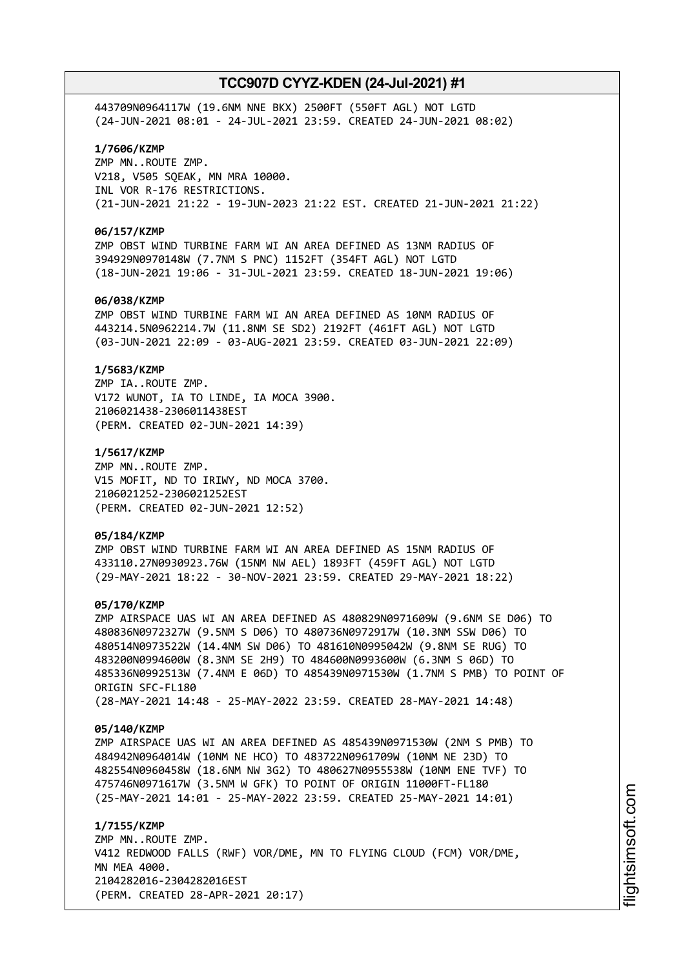443709N0964117W (19.6NM NNE BKX) 2500FT (550FT AGL) NOT LGTD (24-JUN-2021 08:01 - 24-JUL-2021 23:59. CREATED 24-JUN-2021 08:02)

### **1/7606/KZMP**

ZMP MN..ROUTE ZMP. V218, V505 SQEAK, MN MRA 10000. INL VOR R-176 RESTRICTIONS. (21-JUN-2021 21:22 - 19-JUN-2023 21:22 EST. CREATED 21-JUN-2021 21:22)

#### **06/157/KZMP**

ZMP OBST WIND TURBINE FARM WI AN AREA DEFINED AS 13NM RADIUS OF 394929N0970148W (7.7NM S PNC) 1152FT (354FT AGL) NOT LGTD (18-JUN-2021 19:06 - 31-JUL-2021 23:59. CREATED 18-JUN-2021 19:06)

### **06/038/KZMP**

ZMP OBST WIND TURBINE FARM WI AN AREA DEFINED AS 10NM RADIUS OF 443214.5N0962214.7W (11.8NM SE SD2) 2192FT (461FT AGL) NOT LGTD (03-JUN-2021 22:09 - 03-AUG-2021 23:59. CREATED 03-JUN-2021 22:09)

#### **1/5683/KZMP**

ZMP IA..ROUTE ZMP. V172 WUNOT, IA TO LINDE, IA MOCA 3900. 2106021438-2306011438EST (PERM. CREATED 02-JUN-2021 14:39)

#### **1/5617/KZMP**

ZMP MN..ROUTE ZMP. V15 MOFIT, ND TO IRIWY, ND MOCA 3700. 2106021252-2306021252EST (PERM. CREATED 02-JUN-2021 12:52)

#### **05/184/KZMP**

ZMP OBST WIND TURBINE FARM WI AN AREA DEFINED AS 15NM RADIUS OF 433110.27N0930923.76W (15NM NW AEL) 1893FT (459FT AGL) NOT LGTD (29-MAY-2021 18:22 - 30-NOV-2021 23:59. CREATED 29-MAY-2021 18:22)

#### **05/170/KZMP**

ZMP AIRSPACE UAS WI AN AREA DEFINED AS 480829N0971609W (9.6NM SE D06) TO 480836N0972327W (9.5NM S D06) TO 480736N0972917W (10.3NM SSW D06) TO 480514N0973522W (14.4NM SW D06) TO 481610N0995042W (9.8NM SE RUG) TO 483200N0994600W (8.3NM SE 2H9) TO 484600N0993600W (6.3NM S 06D) TO 485336N0992513W (7.4NM E 06D) TO 485439N0971530W (1.7NM S PMB) TO POINT OF ORIGIN SFC-FL180 (28-MAY-2021 14:48 - 25-MAY-2022 23:59. CREATED 28-MAY-2021 14:48)

#### **05/140/KZMP**

ZMP AIRSPACE UAS WI AN AREA DEFINED AS 485439N0971530W (2NM S PMB) TO 484942N0964014W (10NM NE HCO) TO 483722N0961709W (10NM NE 23D) TO 482554N0960458W (18.6NM NW 3G2) TO 480627N0955538W (10NM ENE TVF) TO 475746N0971617W (3.5NM W GFK) TO POINT OF ORIGIN 11000FT-FL180 (25-MAY-2021 14:01 - 25-MAY-2022 23:59. CREATED 25-MAY-2021 14:01)

**1/7155/KZMP** ZMP MN..ROUTE ZMP. V412 REDWOOD FALLS (RWF) VOR/DME, MN TO FLYING CLOUD (FCM) VOR/DME, MN MEA 4000. 2104282016-2304282016EST (PERM. CREATED 28-APR-2021 20:17)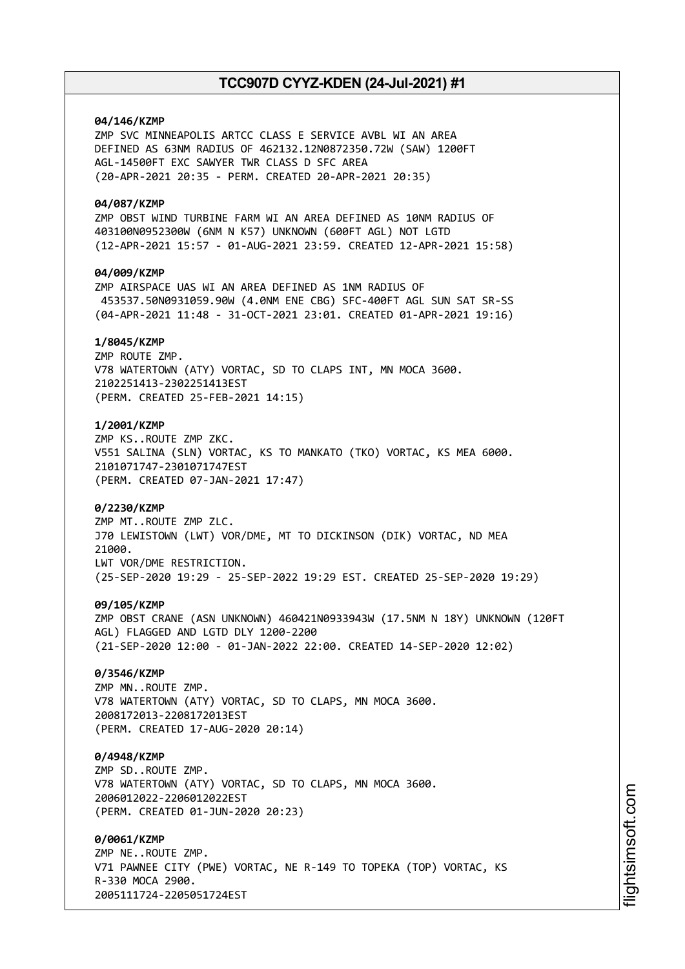# **04/146/KZMP**

ZMP SVC MINNEAPOLIS ARTCC CLASS E SERVICE AVBL WI AN AREA DEFINED AS 63NM RADIUS OF 462132.12N0872350.72W (SAW) 1200FT AGL-14500FT EXC SAWYER TWR CLASS D SFC AREA (20-APR-2021 20:35 - PERM. CREATED 20-APR-2021 20:35)

#### **04/087/KZMP**

ZMP OBST WIND TURBINE FARM WI AN AREA DEFINED AS 10NM RADIUS OF 403100N0952300W (6NM N K57) UNKNOWN (600FT AGL) NOT LGTD (12-APR-2021 15:57 - 01-AUG-2021 23:59. CREATED 12-APR-2021 15:58)

# **04/009/KZMP**

ZMP AIRSPACE UAS WI AN AREA DEFINED AS 1NM RADIUS OF 453537.50N0931059.90W (4.0NM ENE CBG) SFC-400FT AGL SUN SAT SR-SS (04-APR-2021 11:48 - 31-OCT-2021 23:01. CREATED 01-APR-2021 19:16)

# **1/8045/KZMP**

ZMP ROUTE ZMP. V78 WATERTOWN (ATY) VORTAC, SD TO CLAPS INT, MN MOCA 3600. 2102251413-2302251413EST (PERM. CREATED 25-FEB-2021 14:15)

# **1/2001/KZMP**

ZMP KS..ROUTE ZMP ZKC. V551 SALINA (SLN) VORTAC, KS TO MANKATO (TKO) VORTAC, KS MEA 6000. 2101071747-2301071747EST (PERM. CREATED 07-JAN-2021 17:47)

### **0/2230/KZMP**

ZMP MT..ROUTE ZMP ZLC. J70 LEWISTOWN (LWT) VOR/DME, MT TO DICKINSON (DIK) VORTAC, ND MEA 21000. LWT VOR/DME RESTRICTION. (25-SEP-2020 19:29 - 25-SEP-2022 19:29 EST. CREATED 25-SEP-2020 19:29)

### **09/105/KZMP**

ZMP OBST CRANE (ASN UNKNOWN) 460421N0933943W (17.5NM N 18Y) UNKNOWN (120FT AGL) FLAGGED AND LGTD DLY 1200-2200 (21-SEP-2020 12:00 - 01-JAN-2022 22:00. CREATED 14-SEP-2020 12:02)

### **0/3546/KZMP**

ZMP MN..ROUTE ZMP. V78 WATERTOWN (ATY) VORTAC, SD TO CLAPS, MN MOCA 3600. 2008172013-2208172013EST (PERM. CREATED 17-AUG-2020 20:14)

### **0/4948/KZMP**

ZMP SD..ROUTE ZMP. V78 WATERTOWN (ATY) VORTAC, SD TO CLAPS, MN MOCA 3600. 2006012022-2206012022EST (PERM. CREATED 01-JUN-2020 20:23)

#### **0/0061/KZMP**

ZMP NE..ROUTE ZMP. V71 PAWNEE CITY (PWE) VORTAC, NE R-149 TO TOPEKA (TOP) VORTAC, KS R-330 MOCA 2900. 2005111724-2205051724EST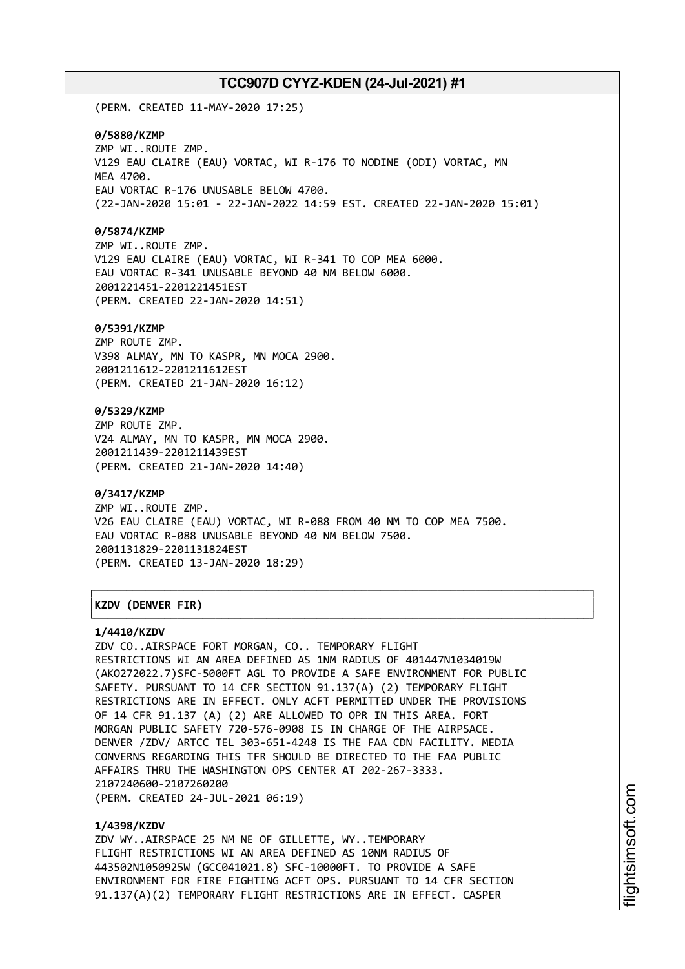(PERM. CREATED 11-MAY-2020 17:25)

#### **0/5880/KZMP**

ZMP WI..ROUTE ZMP. V129 EAU CLAIRE (EAU) VORTAC, WI R-176 TO NODINE (ODI) VORTAC, MN MEA 4700. EAU VORTAC R-176 UNUSABLE BELOW 4700. (22-JAN-2020 15:01 - 22-JAN-2022 14:59 EST. CREATED 22-JAN-2020 15:01)

#### **0/5874/KZMP**

ZMP WI..ROUTE ZMP. V129 EAU CLAIRE (EAU) VORTAC, WI R-341 TO COP MEA 6000. EAU VORTAC R-341 UNUSABLE BEYOND 40 NM BELOW 6000. 2001221451-2201221451EST (PERM. CREATED 22-JAN-2020 14:51)

#### **0/5391/KZMP**

ZMP ROUTE ZMP. V398 ALMAY, MN TO KASPR, MN MOCA 2900. 2001211612-2201211612EST (PERM. CREATED 21-JAN-2020 16:12)

### **0/5329/KZMP**

ZMP ROUTE ZMP. V24 ALMAY, MN TO KASPR, MN MOCA 2900. 2001211439-2201211439EST (PERM. CREATED 21-JAN-2020 14:40)

#### **0/3417/KZMP**

ZMP WI..ROUTE ZMP. V26 EAU CLAIRE (EAU) VORTAC, WI R-088 FROM 40 NM TO COP MEA 7500. EAU VORTAC R-088 UNUSABLE BEYOND 40 NM BELOW 7500. 2001131829-2201131824EST (PERM. CREATED 13-JAN-2020 18:29)

┌──────────────────────────────────────────────────────────────────────────────┐

└──────────────────────────────────────────────────────────────────────────────┘

# │**KZDV (DENVER FIR)** │

#### **1/4410/KZDV**

ZDV CO..AIRSPACE FORT MORGAN, CO.. TEMPORARY FLIGHT RESTRICTIONS WI AN AREA DEFINED AS 1NM RADIUS OF 401447N1034019W (AKO272022.7)SFC-5000FT AGL TO PROVIDE A SAFE ENVIRONMENT FOR PUBLIC SAFETY. PURSUANT TO 14 CFR SECTION 91.137(A) (2) TEMPORARY FLIGHT RESTRICTIONS ARE IN EFFECT. ONLY ACFT PERMITTED UNDER THE PROVISIONS OF 14 CFR 91.137 (A) (2) ARE ALLOWED TO OPR IN THIS AREA. FORT MORGAN PUBLIC SAFETY 720-576-0908 IS IN CHARGE OF THE AIRPSACE. DENVER /ZDV/ ARTCC TEL 303-651-4248 IS THE FAA CDN FACILITY. MEDIA CONVERNS REGARDING THIS TFR SHOULD BE DIRECTED TO THE FAA PUBLIC AFFAIRS THRU THE WASHINGTON OPS CENTER AT 202-267-3333. 2107240600-2107260200 (PERM. CREATED 24-JUL-2021 06:19)

#### **1/4398/KZDV**

ZDV WY..AIRSPACE 25 NM NE OF GILLETTE, WY..TEMPORARY FLIGHT RESTRICTIONS WI AN AREA DEFINED AS 10NM RADIUS OF 443502N1050925W (GCC041021.8) SFC-10000FT. TO PROVIDE A SAFE ENVIRONMENT FOR FIRE FIGHTING ACFT OPS. PURSUANT TO 14 CFR SECTION 91.137(A)(2) TEMPORARY FLIGHT RESTRICTIONS ARE IN EFFECT. CASPER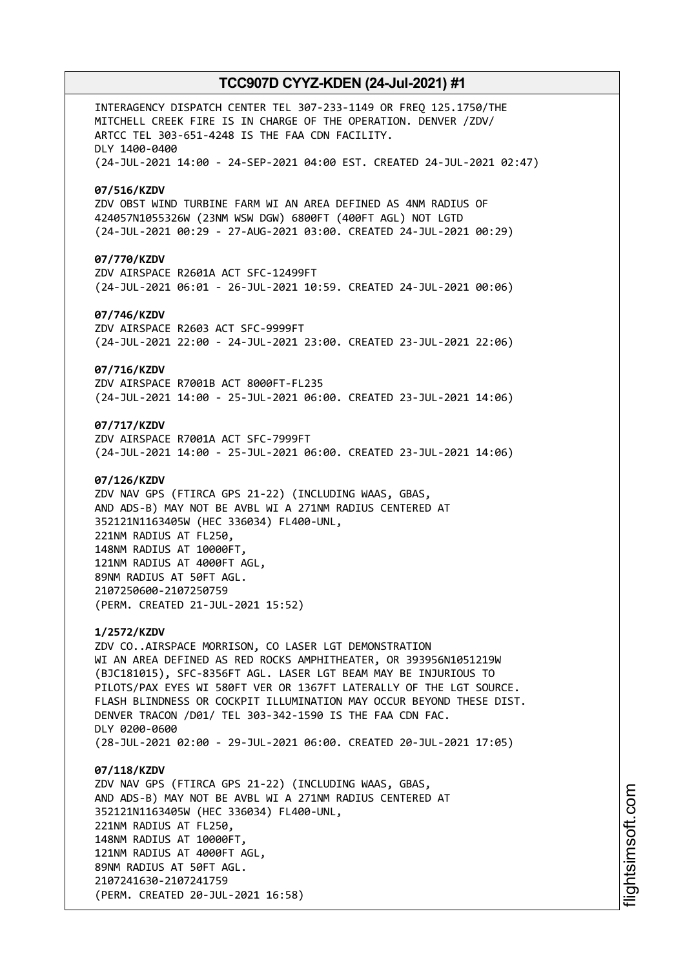INTERAGENCY DISPATCH CENTER TEL 307-233-1149 OR FREQ 125.1750/THE MITCHELL CREEK FIRE IS IN CHARGE OF THE OPERATION. DENVER /ZDV/ ARTCC TEL 303-651-4248 IS THE FAA CDN FACILITY. DLY 1400-0400 (24-JUL-2021 14:00 - 24-SEP-2021 04:00 EST. CREATED 24-JUL-2021 02:47) **07/516/KZDV** ZDV OBST WIND TURBINE FARM WI AN AREA DEFINED AS 4NM RADIUS OF 424057N1055326W (23NM WSW DGW) 6800FT (400FT AGL) NOT LGTD (24-JUL-2021 00:29 - 27-AUG-2021 03:00. CREATED 24-JUL-2021 00:29) **07/770/KZDV** ZDV AIRSPACE R2601A ACT SFC-12499FT (24-JUL-2021 06:01 - 26-JUL-2021 10:59. CREATED 24-JUL-2021 00:06) **07/746/KZDV** ZDV AIRSPACE R2603 ACT SFC-9999FT (24-JUL-2021 22:00 - 24-JUL-2021 23:00. CREATED 23-JUL-2021 22:06) **07/716/KZDV** ZDV AIRSPACE R7001B ACT 8000FT-FL235 (24-JUL-2021 14:00 - 25-JUL-2021 06:00. CREATED 23-JUL-2021 14:06) **07/717/KZDV** ZDV AIRSPACE R7001A ACT SFC-7999FT (24-JUL-2021 14:00 - 25-JUL-2021 06:00. CREATED 23-JUL-2021 14:06) **07/126/KZDV** ZDV NAV GPS (FTIRCA GPS 21-22) (INCLUDING WAAS, GBAS, AND ADS-B) MAY NOT BE AVBL WI A 271NM RADIUS CENTERED AT 352121N1163405W (HEC 336034) FL400-UNL, 221NM RADIUS AT FL250, 148NM RADIUS AT 10000FT, 121NM RADIUS AT 4000FT AGL, 89NM RADIUS AT 50FT AGL. 2107250600-2107250759 (PERM. CREATED 21-JUL-2021 15:52) **1/2572/KZDV** ZDV CO..AIRSPACE MORRISON, CO LASER LGT DEMONSTRATION WI AN AREA DEFINED AS RED ROCKS AMPHITHEATER, OR 393956N1051219W (BJC181015), SFC-8356FT AGL. LASER LGT BEAM MAY BE INJURIOUS TO PILOTS/PAX EYES WI 580FT VER OR 1367FT LATERALLY OF THE LGT SOURCE. FLASH BLINDNESS OR COCKPIT ILLUMINATION MAY OCCUR BEYOND THESE DIST. DENVER TRACON /D01/ TEL 303-342-1590 IS THE FAA CDN FAC. DLY 0200-0600 (28-JUL-2021 02:00 - 29-JUL-2021 06:00. CREATED 20-JUL-2021 17:05) **07/118/KZDV** ZDV NAV GPS (FTIRCA GPS 21-22) (INCLUDING WAAS, GBAS, AND ADS-B) MAY NOT BE AVBL WI A 271NM RADIUS CENTERED AT 352121N1163405W (HEC 336034) FL400-UNL, 221NM RADIUS AT FL250, 148NM RADIUS AT 10000FT, 121NM RADIUS AT 4000FT AGL, 89NM RADIUS AT 50FT AGL.

2107241630-2107241759

(PERM. CREATED 20-JUL-2021 16:58)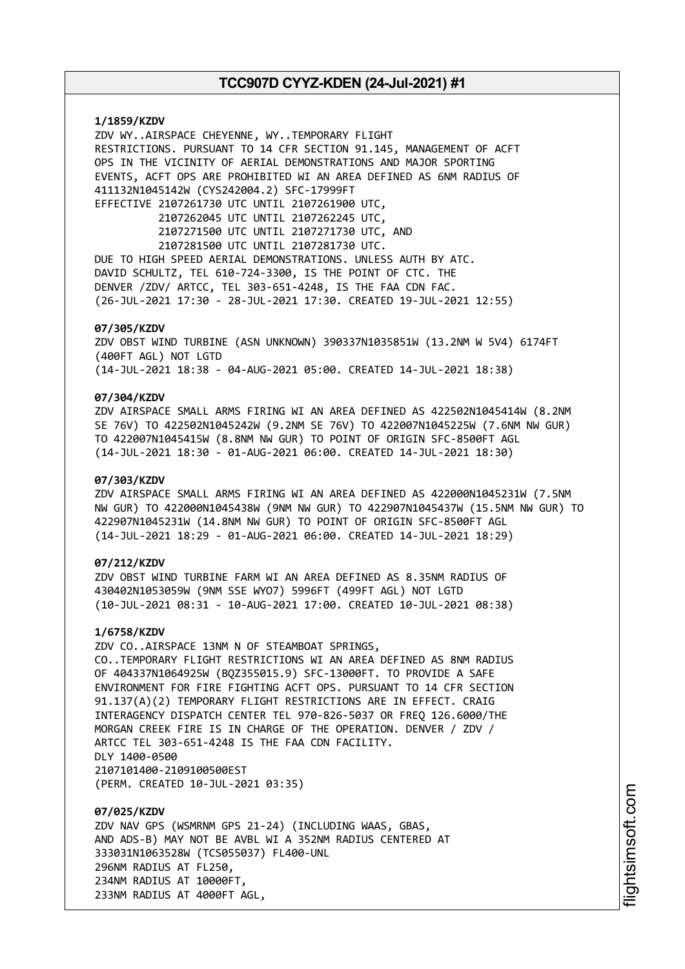**1/1859/KZDV** ZDV WY..AIRSPACE CHEYENNE, WY..TEMPORARY FLIGHT RESTRICTIONS. PURSUANT TO 14 CFR SECTION 91.145, MANAGEMENT OF ACFT OPS IN THE VICINITY OF AERIAL DEMONSTRATIONS AND MAJOR SPORTING EVENTS, ACFT OPS ARE PROHIBITED WI AN AREA DEFINED AS 6NM RADIUS OF 411132N1045142W (CYS242004.2) SFC-17999FT EFFECTIVE 2107261730 UTC UNTIL 2107261900 UTC, 2107262045 UTC UNTIL 2107262245 UTC, 2107271500 UTC UNTIL 2107271730 UTC, AND 2107281500 UTC UNTIL 2107281730 UTC. DUE TO HIGH SPEED AERIAL DEMONSTRATIONS. UNLESS AUTH BY ATC. DAVID SCHULTZ, TEL 610-724-3300, IS THE POINT OF CTC. THE DENVER /ZDV/ ARTCC, TEL 303-651-4248, IS THE FAA CDN FAC. (26-JUL-2021 17:30 - 28-JUL-2021 17:30. CREATED 19-JUL-2021 12:55) **07/305/KZDV** ZDV OBST WIND TURBINE (ASN UNKNOWN) 390337N1035851W (13.2NM W 5V4) 6174FT

(400FT AGL) NOT LGTD (14-JUL-2021 18:38 - 04-AUG-2021 05:00. CREATED 14-JUL-2021 18:38)

# **07/304/KZDV**

ZDV AIRSPACE SMALL ARMS FIRING WI AN AREA DEFINED AS 422502N1045414W (8.2NM SE 76V) TO 422502N1045242W (9.2NM SE 76V) TO 422007N1045225W (7.6NM NW GUR) TO 422007N1045415W (8.8NM NW GUR) TO POINT OF ORIGIN SFC-8500FT AGL (14-JUL-2021 18:30 - 01-AUG-2021 06:00. CREATED 14-JUL-2021 18:30)

### **07/303/KZDV**

ZDV AIRSPACE SMALL ARMS FIRING WI AN AREA DEFINED AS 422000N1045231W (7.5NM NW GUR) TO 422000N1045438W (9NM NW GUR) TO 422907N1045437W (15.5NM NW GUR) TO 422907N1045231W (14.8NM NW GUR) TO POINT OF ORIGIN SFC-8500FT AGL (14-JUL-2021 18:29 - 01-AUG-2021 06:00. CREATED 14-JUL-2021 18:29)

# **07/212/KZDV**

ZDV OBST WIND TURBINE FARM WI AN AREA DEFINED AS 8.35NM RADIUS OF 430402N1053059W (9NM SSE WYO7) 5996FT (499FT AGL) NOT LGTD (10-JUL-2021 08:31 - 10-AUG-2021 17:00. CREATED 10-JUL-2021 08:38)

#### **1/6758/KZDV**

ZDV CO..AIRSPACE 13NM N OF STEAMBOAT SPRINGS, CO..TEMPORARY FLIGHT RESTRICTIONS WI AN AREA DEFINED AS 8NM RADIUS OF 404337N1064925W (BQZ355015.9) SFC-13000FT. TO PROVIDE A SAFE ENVIRONMENT FOR FIRE FIGHTING ACFT OPS. PURSUANT TO 14 CFR SECTION 91.137(A)(2) TEMPORARY FLIGHT RESTRICTIONS ARE IN EFFECT. CRAIG INTERAGENCY DISPATCH CENTER TEL 970-826-5037 OR FREQ 126.6000/THE MORGAN CREEK FIRE IS IN CHARGE OF THE OPERATION. DENVER / ZDV / ARTCC TEL 303-651-4248 IS THE FAA CDN FACILITY. DLY 1400-0500 2107101400-2109100500EST (PERM. CREATED 10-JUL-2021 03:35)

**07/025/KZDV** ZDV NAV GPS (WSMRNM GPS 21-24) (INCLUDING WAAS, GBAS, AND ADS-B) MAY NOT BE AVBL WI A 352NM RADIUS CENTERED AT 333031N1063528W (TCS055037) FL400-UNL 296NM RADIUS AT FL250, 234NM RADIUS AT 10000FT, 233NM RADIUS AT 4000FT AGL,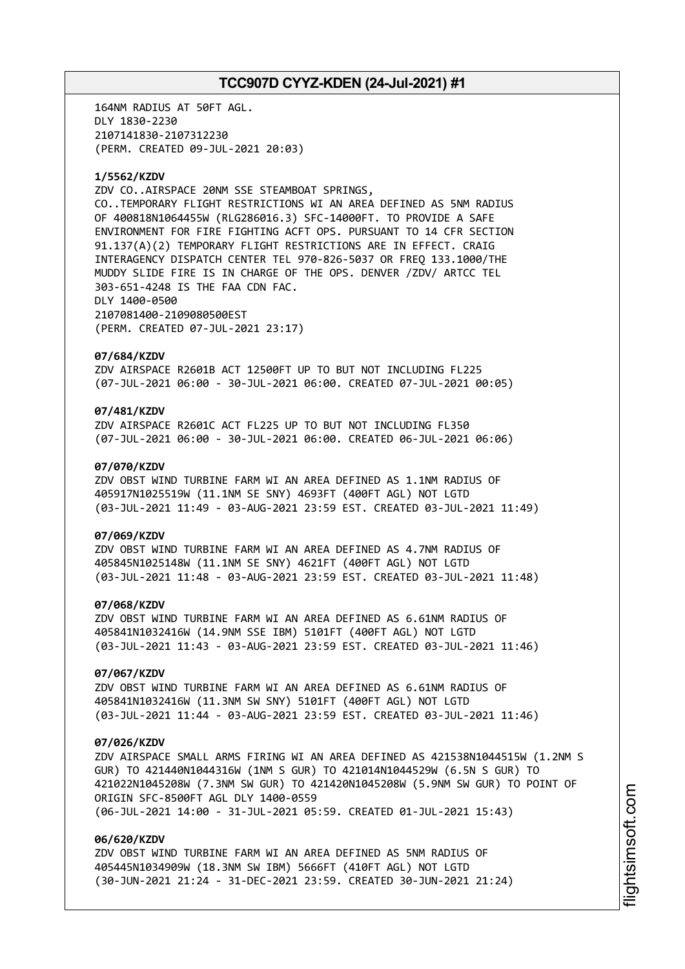164NM RADIUS AT 50FT AGL. DLY 1830-2230 2107141830-2107312230 (PERM. CREATED 09-JUL-2021 20:03)

#### **1/5562/KZDV**

ZDV CO..AIRSPACE 20NM SSE STEAMBOAT SPRINGS, CO..TEMPORARY FLIGHT RESTRICTIONS WI AN AREA DEFINED AS 5NM RADIUS OF 400818N1064455W (RLG286016.3) SFC-14000FT. TO PROVIDE A SAFE ENVIRONMENT FOR FIRE FIGHTING ACFT OPS. PURSUANT TO 14 CFR SECTION 91.137(A)(2) TEMPORARY FLIGHT RESTRICTIONS ARE IN EFFECT. CRAIG INTERAGENCY DISPATCH CENTER TEL 970-826-5037 OR FREQ 133.1000/THE MUDDY SLIDE FIRE IS IN CHARGE OF THE OPS. DENVER /ZDV/ ARTCC TEL 303-651-4248 IS THE FAA CDN FAC. DLY 1400-0500 2107081400-2109080500EST (PERM. CREATED 07-JUL-2021 23:17)

#### **07/684/KZDV**

ZDV AIRSPACE R2601B ACT 12500FT UP TO BUT NOT INCLUDING FL225 (07-JUL-2021 06:00 - 30-JUL-2021 06:00. CREATED 07-JUL-2021 00:05)

# **07/481/KZDV**

ZDV AIRSPACE R2601C ACT FL225 UP TO BUT NOT INCLUDING FL350 (07-JUL-2021 06:00 - 30-JUL-2021 06:00. CREATED 06-JUL-2021 06:06)

#### **07/070/KZDV**

ZDV OBST WIND TURBINE FARM WI AN AREA DEFINED AS 1.1NM RADIUS OF 405917N1025519W (11.1NM SE SNY) 4693FT (400FT AGL) NOT LGTD (03-JUL-2021 11:49 - 03-AUG-2021 23:59 EST. CREATED 03-JUL-2021 11:49)

#### **07/069/KZDV**

ZDV OBST WIND TURBINE FARM WI AN AREA DEFINED AS 4.7NM RADIUS OF 405845N1025148W (11.1NM SE SNY) 4621FT (400FT AGL) NOT LGTD (03-JUL-2021 11:48 - 03-AUG-2021 23:59 EST. CREATED 03-JUL-2021 11:48)

### **07/068/KZDV**

ZDV OBST WIND TURBINE FARM WI AN AREA DEFINED AS 6.61NM RADIUS OF 405841N1032416W (14.9NM SSE IBM) 5101FT (400FT AGL) NOT LGTD (03-JUL-2021 11:43 - 03-AUG-2021 23:59 EST. CREATED 03-JUL-2021 11:46)

### **07/067/KZDV**

ZDV OBST WIND TURBINE FARM WI AN AREA DEFINED AS 6.61NM RADIUS OF 405841N1032416W (11.3NM SW SNY) 5101FT (400FT AGL) NOT LGTD (03-JUL-2021 11:44 - 03-AUG-2021 23:59 EST. CREATED 03-JUL-2021 11:46)

#### **07/026/KZDV**

ZDV AIRSPACE SMALL ARMS FIRING WI AN AREA DEFINED AS 421538N1044515W (1.2NM S GUR) TO 421440N1044316W (1NM S GUR) TO 421014N1044529W (6.5N S GUR) TO 421022N1045208W (7.3NM SW GUR) TO 421420N1045208W (5.9NM SW GUR) TO POINT OF ORIGIN SFC-8500FT AGL DLY 1400-0559 (06-JUL-2021 14:00 - 31-JUL-2021 05:59. CREATED 01-JUL-2021 15:43)

#### **06/620/KZDV**

ZDV OBST WIND TURBINE FARM WI AN AREA DEFINED AS 5NM RADIUS OF 405445N1034909W (18.3NM SW IBM) 5666FT (410FT AGL) NOT LGTD (30-JUN-2021 21:24 - 31-DEC-2021 23:59. CREATED 30-JUN-2021 21:24)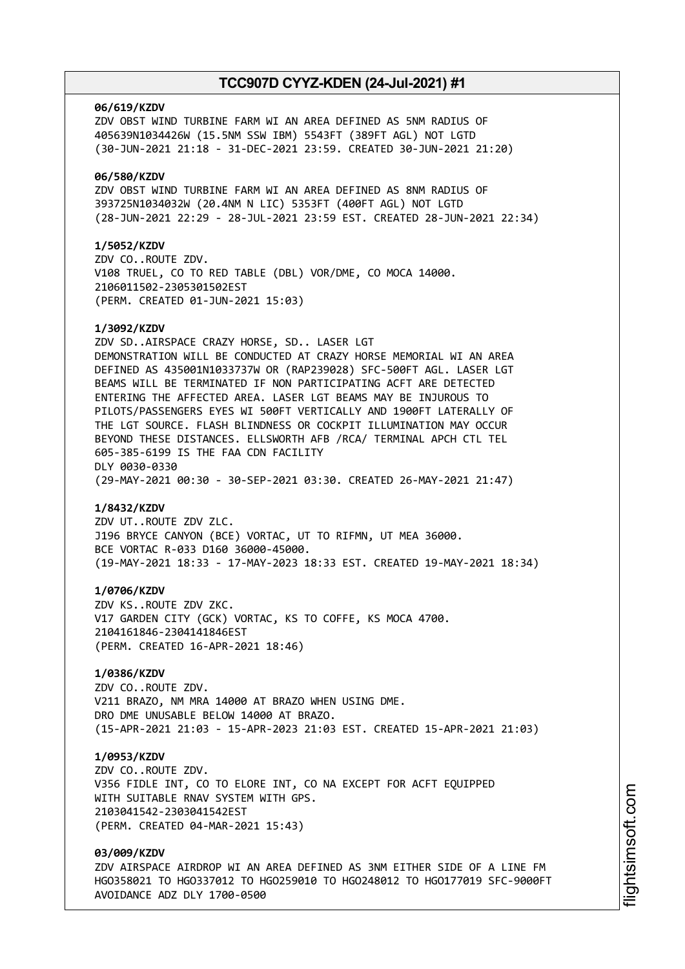#### **06/619/KZDV**

ZDV OBST WIND TURBINE FARM WI AN AREA DEFINED AS 5NM RADIUS OF 405639N1034426W (15.5NM SSW IBM) 5543FT (389FT AGL) NOT LGTD (30-JUN-2021 21:18 - 31-DEC-2021 23:59. CREATED 30-JUN-2021 21:20)

#### **06/580/KZDV**

ZDV OBST WIND TURBINE FARM WI AN AREA DEFINED AS 8NM RADIUS OF 393725N1034032W (20.4NM N LIC) 5353FT (400FT AGL) NOT LGTD (28-JUN-2021 22:29 - 28-JUL-2021 23:59 EST. CREATED 28-JUN-2021 22:34)

### **1/5052/KZDV**

ZDV CO..ROUTE ZDV. V108 TRUEL, CO TO RED TABLE (DBL) VOR/DME, CO MOCA 14000. 2106011502-2305301502EST (PERM. CREATED 01-JUN-2021 15:03)

#### **1/3092/KZDV**

ZDV SD..AIRSPACE CRAZY HORSE, SD.. LASER LGT DEMONSTRATION WILL BE CONDUCTED AT CRAZY HORSE MEMORIAL WI AN AREA DEFINED AS 435001N1033737W OR (RAP239028) SFC-500FT AGL. LASER LGT BEAMS WILL BE TERMINATED IF NON PARTICIPATING ACFT ARE DETECTED ENTERING THE AFFECTED AREA. LASER LGT BEAMS MAY BE INJUROUS TO PILOTS/PASSENGERS EYES WI 500FT VERTICALLY AND 1900FT LATERALLY OF THE LGT SOURCE. FLASH BLINDNESS OR COCKPIT ILLUMINATION MAY OCCUR BEYOND THESE DISTANCES. ELLSWORTH AFB /RCA/ TERMINAL APCH CTL TEL 605-385-6199 IS THE FAA CDN FACILITY DLY 0030-0330 (29-MAY-2021 00:30 - 30-SEP-2021 03:30. CREATED 26-MAY-2021 21:47)

#### **1/8432/KZDV**

ZDV UT..ROUTE ZDV ZLC. J196 BRYCE CANYON (BCE) VORTAC, UT TO RIFMN, UT MEA 36000. BCE VORTAC R-033 D160 36000-45000. (19-MAY-2021 18:33 - 17-MAY-2023 18:33 EST. CREATED 19-MAY-2021 18:34)

#### **1/0706/KZDV**

ZDV KS..ROUTE ZDV ZKC. V17 GARDEN CITY (GCK) VORTAC, KS TO COFFE, KS MOCA 4700. 2104161846-2304141846EST (PERM. CREATED 16-APR-2021 18:46)

# **1/0386/KZDV**

ZDV CO..ROUTE ZDV. V211 BRAZO, NM MRA 14000 AT BRAZO WHEN USING DME. DRO DME UNUSABLE BELOW 14000 AT BRAZO. (15-APR-2021 21:03 - 15-APR-2023 21:03 EST. CREATED 15-APR-2021 21:03)

#### **1/0953/KZDV**

ZDV CO..ROUTE ZDV. V356 FIDLE INT, CO TO ELORE INT, CO NA EXCEPT FOR ACFT EQUIPPED WITH SUITABLE RNAV SYSTEM WITH GPS. 2103041542-2303041542EST (PERM. CREATED 04-MAR-2021 15:43)

# **03/009/KZDV**

ZDV AIRSPACE AIRDROP WI AN AREA DEFINED AS 3NM EITHER SIDE OF A LINE FM HGO358021 TO HGO337012 TO HGO259010 TO HGO248012 TO HGO177019 SFC-9000FT AVOIDANCE ADZ DLY 1700-0500